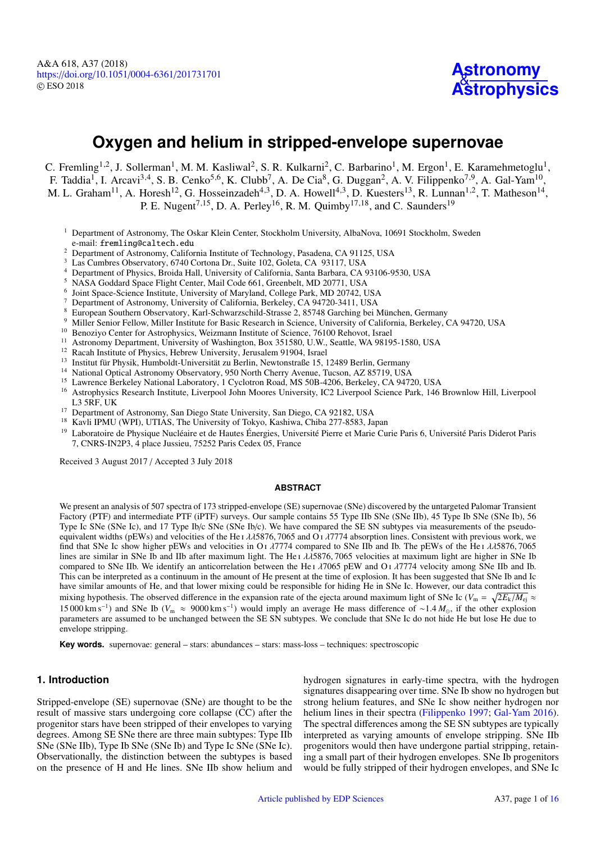

# **Oxygen and helium in stripped-envelope supernovae**

C. Fremling<sup>[1](#page-0-0)[,2](#page-0-1)</sup>, J. Sollerman<sup>1</sup>, M. M. Kasliwal<sup>[2](#page-0-1)</sup>, S. R. Kulkarni<sup>2</sup>, C. Barbarino<sup>1</sup>, M. Ergon<sup>1</sup>, E. Karamehmetoglu<sup>1</sup>, F. Taddia<sup>[1](#page-0-0)</sup>, I. Arcavi<sup>[3](#page-0-2)[,4](#page-0-3)</sup>, S. B. Cenko<sup>[5](#page-0-4)[,6](#page-0-5)</sup>, K. Clubb<sup>[7](#page-0-6)</sup>, A. De Cia<sup>[8](#page-0-7)</sup>, G. Duggan<sup>[2](#page-0-1)</sup>, A. V. Filippenko<sup>7[,9](#page-0-8)</sup>, A. Gal-Yam<sup>[10](#page-0-9)</sup>, M. L. Graham<sup>[11](#page-0-10)</sup>, A. Horesh<sup>[12](#page-0-11)</sup>, G. Hosseinzadeh<sup>[4](#page-0-3)[,3](#page-0-2)</sup>, D. A. Howell<sup>4,3</sup>, D. Kuesters<sup>[13](#page-0-12)</sup>, R. Lunnan<sup>[1](#page-0-0)[,2](#page-0-1)</sup>, T. Matheson<sup>[14](#page-0-13)</sup>, P. E. Nugent<sup>[7](#page-0-6)[,15](#page-0-14)</sup>, D. A. Perley<sup>[16](#page-0-15)</sup>, R. M. Quimby<sup>[17](#page-0-16)[,18](#page-0-17)</sup>, and C. Saunders<sup>[19](#page-0-18)</sup>

- <span id="page-0-0"></span><sup>1</sup> Department of Astronomy, The Oskar Klein Center, Stockholm University, AlbaNova, 10691 Stockholm, Sweden e-mail: fremling@caltech.edu
- <span id="page-0-1"></span><sup>2</sup> Department of Astronomy, California Institute of Technology, Pasadena, CA 91125, USA
- <span id="page-0-2"></span><sup>3</sup> Las Cumbres Observatory, 6740 Cortona Dr., Suite 102, Goleta, CA 93117, USA
- <span id="page-0-3"></span><sup>4</sup> Department of Physics, Broida Hall, University of California, Santa Barbara, CA 93106-9530, USA
- <span id="page-0-4"></span><sup>5</sup> NASA Goddard Space Flight Center, Mail Code 661, Greenbelt, MD 20771, USA
- <span id="page-0-5"></span>6 Joint Space-Science Institute, University of Maryland, College Park, MD 20742, USA
- <span id="page-0-6"></span><sup>7</sup> Department of Astronomy, University of California, Berkeley, CA 94720-3411, USA
- <sup>8</sup> European Southern Observatory, Karl-Schwarzschild-Strasse 2, 85748 Garching bei München, Germany
- <span id="page-0-8"></span><span id="page-0-7"></span><sup>9</sup> Miller Senior Fellow, Miller Institute for Basic Research in Science, University of California, Berkeley, CA 94720, USA  $\frac{10}{10}$  Benggius Center for Astrophysics Weigmann Institute of Science, 76100 Behavet Jamel
- <span id="page-0-9"></span><sup>10</sup> Benoziyo Center for Astrophysics, Weizmann Institute of Science, 76100 Rehovot, Israel
- <span id="page-0-10"></span>Astronomy Department, University of Washington, Box 351580, U.W., Seattle, WA 98195-1580, USA
- <span id="page-0-11"></span><sup>12</sup> Racah Institute of Physics, Hebrew University, Jerusalem 91904, Israel
- <span id="page-0-12"></span><sup>13</sup> Institut für Physik, Humboldt-Universität zu Berlin, Newtonstraße 15, 12489 Berlin, Germany
- <span id="page-0-13"></span><sup>14</sup> National Optical Astronomy Observatory, 950 North Cherry Avenue, Tucson, AZ 85719, USA
- <span id="page-0-14"></span><sup>15</sup> Lawrence Berkeley National Laboratory, 1 Cyclotron Road, MS 50B-4206, Berkeley, CA 94720, USA<br><sup>16</sup> Astrophysics Besearch Institute Liverpool John Moores University JC2 Liverpool Science Berk, 146
- <span id="page-0-15"></span><sup>16</sup> Astrophysics Research Institute, Liverpool John Moores University, IC2 Liverpool Science Park, 146 Brownlow Hill, Liverpool L3 5RF, UK
- <span id="page-0-16"></span><sup>17</sup> Department of Astronomy, San Diego State University, San Diego, CA 92182, USA
- <span id="page-0-17"></span><sup>18</sup> Kavli IPMU (WPI), UTIAS, The University of Tokyo, Kashiwa, Chiba 277-8583, Japan
- <span id="page-0-18"></span><sup>19</sup> Laboratoire de Physique Nucléaire et de Hautes Énergies, Université Pierre et Marie Curie Paris 6, Université Paris Diderot Paris 7, CNRS-IN2P3, 4 place Jussieu, 75252 Paris Cedex 05, France

Received 3 August 2017 / Accepted 3 July 2018

#### **ABSTRACT**

We present an analysis of 507 spectra of 173 stripped-envelope (SE) supernovae (SNe) discovered by the untargeted Palomar Transient Factory (PTF) and intermediate PTF (iPTF) surveys. Our sample contains 55 Type IIb SNe (SNe IIb), 45 Type Ib SNe (SNe Ib), 56 Type Ic SNe (SNe Ic), and 17 Type Ib/c SNe (SNe Ib/c). We have compared the SE SN subtypes via measurements of the pseudoequivalent widths (pEWs) and velocities of the He I  $\lambda$ 15876, 7065 and O1 $\lambda$ 7774 absorption lines. Consistent with previous work, we find that SNe Ic show higher pEWs and velocities in O<sub>I</sub>  $\lambda$ 7774 compared to SNe IIb and Ib. The pEWs of the He<sub>I</sub>  $\lambda$  $\lambda$ 5876, 7065 lines are similar in SNe Ib and IIb after maximum light. The He<sub>I</sub>  $\lambda\lambda$ 5876, 7065 velocities at maximum light are higher in SNe Ib compared to SNe IIb. We identify an anticorrelation between the He  $\lambda$   $\lambda$  7065 pEW and O  $\lambda$   $\lambda$  7774 velocity among SNe IIb and Ib. This can be interpreted as a continuum in the amount of He present at the time of explosion. It has been suggested that SNe Ib and Ic have similar amounts of He, and that lower mixing could be responsible for hiding He in SNe Ic. However, our data contradict this mixing hypothesis. The observed difference in the expansion rate of the ejecta around maximum light of SNe Ic ( $V_m = \sqrt{2E_k/M_e}$ )  $\approx 15,000 \text{ km s}^{-1}$ ) and SNe Ib ( $V_s \approx 9000 \text{ km s}^{-1}$ ) would imply an average He mass differe 15 000 km s<sup>−1</sup>) and SNe Ib (*V*<sub>m</sub> ≈ 9000 km s<sup>−1</sup>) would imply an average He mass difference of ~1.4  $M_{\odot}$ , if the other explosion parameters are assumed to be unchanged between the SE SN subtypes. We conclude that S parameters are assumed to be unchanged between the SE SN subtypes. We conclude that SNe Ic do not hide He but lose He due to envelope stripping.

**Key words.** supernovae: general – stars: abundances – stars: mass-loss – techniques: spectroscopic

## **1. Introduction**

Stripped-envelope (SE) supernovae (SNe) are thought to be the result of massive stars undergoing core collapse (CC) after the progenitor stars have been stripped of their envelopes to varying degrees. Among SE SNe there are three main subtypes: Type IIb SNe (SNe IIb), Type Ib SNe (SNe Ib) and Type Ic SNe (SNe Ic). Observationally, the distinction between the subtypes is based on the presence of H and He lines. SNe IIb show helium and

hydrogen signatures in early-time spectra, with the hydrogen signatures disappearing over time. SNe Ib show no hydrogen but strong helium features, and SNe Ic show neither hydrogen nor helium lines in their spectra [\(Filippenko](#page-12-0) [1997;](#page-12-0) [Gal-Yam](#page-12-1) [2016\)](#page-12-1). The spectral differences among the SE SN subtypes are typically interpreted as varying amounts of envelope stripping. SNe IIb progenitors would then have undergone partial stripping, retaining a small part of their hydrogen envelopes. SNe Ib progenitors would be fully stripped of their hydrogen envelopes, and SNe Ic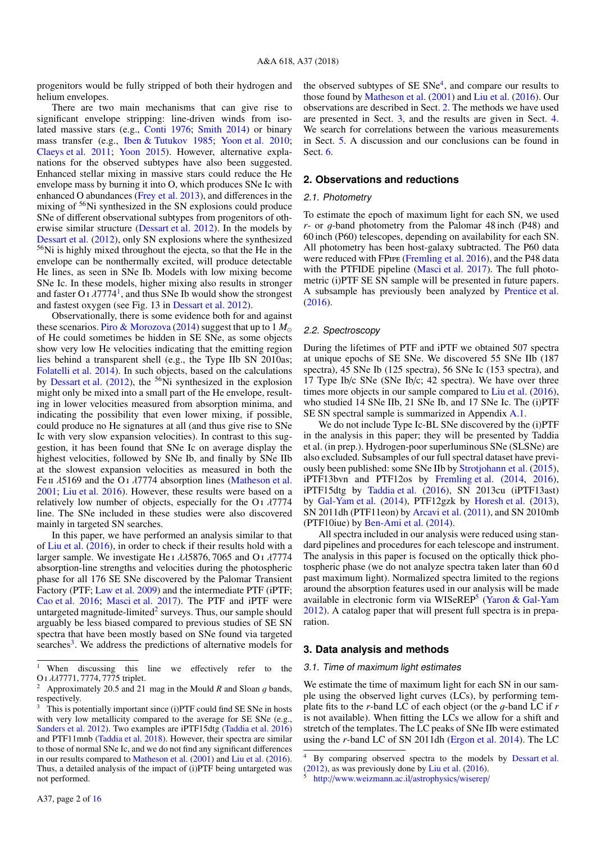progenitors would be fully stripped of both their hydrogen and helium envelopes.

There are two main mechanisms that can give rise to significant envelope stripping: line-driven winds from isolated massive stars (e.g., [Conti](#page-12-2) [1976;](#page-12-2) [Smith](#page-12-3) [2014\)](#page-12-3) or binary mass transfer (e.g., [Iben & Tutukov](#page-12-4) [1985;](#page-12-4) [Yoon et al.](#page-12-5) [2010;](#page-12-5) [Claeys et al.](#page-12-6) [2011;](#page-12-6) [Yoon](#page-12-7) [2015\)](#page-12-7). However, alternative explanations for the observed subtypes have also been suggested. Enhanced stellar mixing in massive stars could reduce the He envelope mass by burning it into O, which produces SNe Ic with enhanced O abundances [\(Frey et al.](#page-12-8) [2013\)](#page-12-8), and differences in the mixing of <sup>56</sup>Ni synthesized in the SN explosions could produce SNe of different observational subtypes from progenitors of otherwise similar structure [\(Dessart et al.](#page-12-9) [2012\)](#page-12-9). In the models by [Dessart et al.](#page-12-9) [\(2012\)](#page-12-9), only SN explosions where the synthesized <sup>56</sup>Ni is highly mixed throughout the ejecta, so that the He in the envelope can be nonthermally excited, will produce detectable He lines, as seen in SNe Ib. Models with low mixing become SNe Ic. In these models, higher mixing also results in stronger and faster O<sub>[1](#page-1-0)</sub>  $\lambda$ 7774<sup>1</sup>, and thus SNe Ib would show the strongest and fastest oxygen (see Fig. 13 in Dessart et al. 2012) and fastest oxygen (see Fig. 13 in [Dessart et al.](#page-12-9) [2012\)](#page-12-9).

Observationally, there is some evidence both for and against these scenarios. Piro  $\&$  Morozova [\(2014\)](#page-12-10) suggest that up to 1  $M_{\odot}$ of He could sometimes be hidden in SE SNe, as some objects show very low He velocities indicating that the emitting region lies behind a transparent shell (e.g., the Type IIb SN 2010as; [Folatelli et al.](#page-12-11) [2014\)](#page-12-11). In such objects, based on the calculations by [Dessart et al.](#page-12-9) [\(2012\)](#page-12-9), the <sup>56</sup>Ni synthesized in the explosion might only be mixed into a small part of the He envelope, resulting in lower velocities measured from absorption minima, and indicating the possibility that even lower mixing, if possible, could produce no He signatures at all (and thus give rise to SNe Ic with very slow expansion velocities). In contrast to this suggestion, it has been found that SNe Ic on average display the highest velocities, followed by SNe Ib, and finally by SNe IIb at the slowest expansion velocities as measured in both the Fe π  $λ5169$  and the O<sub>I</sub> $λ7774$  absorption lines [\(Matheson et al.](#page-12-12) [2001;](#page-12-12) [Liu et al.](#page-12-13) [2016\)](#page-12-13). However, these results were based on a relatively low number of objects, especially for the  $O<sub>I</sub>$   $\lambda$ 7774 line. The SNe included in these studies were also discovered mainly in targeted SN searches.

In this paper, we have performed an analysis similar to that of [Liu et al.](#page-12-13) [\(2016\)](#page-12-13), in order to check if their results hold with a larger sample. We investigate He <sup>i</sup> λλ5876, 7065 and O <sup>i</sup> λ<sup>7774</sup> absorption-line strengths and velocities during the photospheric phase for all 176 SE SNe discovered by the Palomar Transient Factory (PTF; [Law et al.](#page-12-14) [2009\)](#page-12-14) and the intermediate PTF (iPTF; [Cao et al.](#page-12-15) [2016;](#page-12-15) [Masci et al.](#page-12-16) [2017\)](#page-12-16). The PTF and iPTF were untargeted magnitude-limited $^2$  $^2$  surveys. Thus, our sample should arguably be less biased compared to previous studies of SE SN spectra that have been mostly based on SNe found via targeted searches<sup>[3](#page-1-2)</sup>. We address the predictions of alternative models for

the observed subtypes of  $SE SNe<sup>4</sup>$  $SE SNe<sup>4</sup>$  $SE SNe<sup>4</sup>$ , and compare our results to those found by [Matheson et al.](#page-12-12) [\(2001\)](#page-12-12) and [Liu et al.](#page-12-13) [\(2016\)](#page-12-13). Our observations are described in Sect. [2.](#page-1-4) The methods we have used are presented in Sect. [3,](#page-1-5) and the results are given in Sect. [4.](#page-2-0) We search for correlations between the various measurements in Sect. [5.](#page-6-0) A discussion and our conclusions can be found in Sect. [6.](#page-8-0)

## <span id="page-1-4"></span>**2. Observations and reductions**

#### 2.1. Photometry

To estimate the epoch of maximum light for each SN, we used *<sup>r</sup>*- or g-band photometry from the Palomar 48 inch (P48) and 60 inch (P60) telescopes, depending on availability for each SN. All photometry has been host-galaxy subtracted. The P60 data were reduced with FPipe [\(Fremling et al.](#page-12-20) [2016\)](#page-12-20), and the P48 data with the PTFIDE pipeline [\(Masci et al.](#page-12-16) [2017\)](#page-12-16). The full photometric (i)PTF SE SN sample will be presented in future papers. A subsample has previously been analyzed by [Prentice et al.](#page-12-21) [\(2016\)](#page-12-21).

#### 2.2. Spectroscopy

During the lifetimes of PTF and iPTF we obtained 507 spectra at unique epochs of SE SNe. We discovered 55 SNe IIb (187 spectra), 45 SNe Ib (125 spectra), 56 SNe Ic (153 spectra), and 17 Type Ib/c SNe (SNe Ib/c; 42 spectra). We have over three times more objects in our sample compared to [Liu et al.](#page-12-13) [\(2016\)](#page-12-13), who studied 14 SNe IIb, 21 SNe Ib, and 17 SNe Ic. The (i)PTF SE SN spectral sample is summarized in Appendix [A.1.](#page-13-0)

We do not include Type Ic-BL SNe discovered by the (i)PTF in the analysis in this paper; they will be presented by Taddia et al. (in prep.). Hydrogen-poor superluminous SNe (SLSNe) are also excluded. Subsamples of our full spectral dataset have previously been published: some SNe IIb by [Strotjohann et al.](#page-12-22) [\(2015\)](#page-12-22), iPTF13bvn and PTF12os by [Fremling et al.](#page-12-23) [\(2014,](#page-12-23) [2016\)](#page-12-20), iPTF15dtg by [Taddia et al.](#page-12-18) [\(2016\)](#page-12-18), SN 2013cu (iPTF13ast) by [Gal-Yam et al.](#page-12-24) [\(2014\)](#page-12-24), PTF12gzk by [Horesh et al.](#page-12-25) [\(2013\)](#page-12-25), SN 2011dh (PTF11eon) by [Arcavi et al.](#page-12-26) [\(2011\)](#page-12-26), and SN 2010mb (PTF10iue) by [Ben-Ami et al.](#page-12-27) [\(2014\)](#page-12-27).

All spectra included in our analysis were reduced using standard pipelines and procedures for each telescope and instrument. The analysis in this paper is focused on the optically thick photospheric phase (we do not analyze spectra taken later than 60 d past maximum light). Normalized spectra limited to the regions around the absorption features used in our analysis will be made available in electronic form via WISeREP<sup>[5](#page-1-6)</sup> [\(Yaron & Gal-Yam](#page-12-28) [2012\)](#page-12-28). A catalog paper that will present full spectra is in preparation.

## <span id="page-1-5"></span>**3. Data analysis and methods**

## 3.1. Time of maximum light estimates

We estimate the time of maximum light for each SN in our sample using the observed light curves (LCs), by performing template fits to the *<sup>r</sup>*-band LC of each object (or the g-band LC if *<sup>r</sup>* is not available). When fitting the LCs we allow for a shift and stretch of the templates. The LC peaks of SNe IIb were estimated using the *r*-band LC of SN 2011dh [\(Ergon et al.](#page-12-29) [2014\)](#page-12-29). The LC

<span id="page-1-0"></span>When discussing this line we effectively refer to the <sup>O</sup> <sup>i</sup> λλ7771, <sup>7774</sup>, 7775 triplet.

<span id="page-1-1"></span><sup>2</sup> Approximately 20.5 and 21 mag in the Mould *<sup>R</sup>* and Sloan g bands, respectively.

<span id="page-1-2"></span>This is potentially important since (i)PTF could find SE SNe in hosts with very low metallicity compared to the average for SE SNe (e.g., [Sanders et al.](#page-12-17) [2012\)](#page-12-17). Two examples are iPTF15dtg [\(Taddia et al.](#page-12-18) [2016\)](#page-12-18) and PTF11mnb [\(Taddia et al.](#page-12-19) [2018\)](#page-12-19). However, their spectra are similar to those of normal SNe Ic, and we do not find any significant differences in our results compared to [Matheson et al.](#page-12-12) [\(2001\)](#page-12-12) and [Liu et al.](#page-12-13) [\(2016\)](#page-12-13). Thus, a detailed analysis of the impact of (i)PTF being untargeted was not performed.

<span id="page-1-3"></span>By comparing observed spectra to the models by [Dessart et al.](#page-12-9)  $(2012)$ , as was previously done by [Liu et al.](#page-12-13)  $(2016)$ .

<span id="page-1-6"></span><sup>5</sup> http://[www.weizmann.ac.il](http://www.weizmann.ac.il/astrophysics/wiserep/)/astrophysics/wiserep/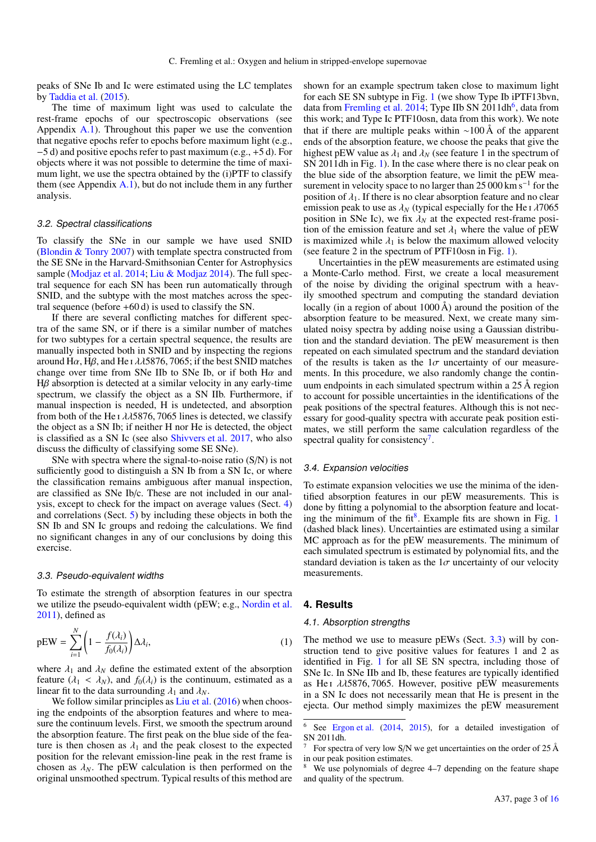peaks of SNe Ib and Ic were estimated using the LC templates by [Taddia et al.](#page-12-30) [\(2015\)](#page-12-30).

The time of maximum light was used to calculate the rest-frame epochs of our spectroscopic observations (see Appendix [A.1\)](#page-13-0). Throughout this paper we use the convention that negative epochs refer to epochs before maximum light (e.g., −5 d) and positive epochs refer to past maximum (e.g., +5 d). For objects where it was not possible to determine the time of maximum light, we use the spectra obtained by the (i)PTF to classify them (see Appendix  $A(1)$ , but do not include them in any further analysis.

## 3.2. Spectral classifications

To classify the SNe in our sample we have used SNID [\(Blondin & Tonry](#page-12-31) [2007\)](#page-12-31) with template spectra constructed from the SE SNe in the Harvard-Smithsonian Center for Astrophysics sample [\(Modjaz et al.](#page-12-32) [2014;](#page-12-32) [Liu & Modjaz](#page-12-33) [2014\)](#page-12-33). The full spectral sequence for each SN has been run automatically through SNID, and the subtype with the most matches across the spectral sequence (before +60 d) is used to classify the SN.

If there are several conflicting matches for different spectra of the same SN, or if there is a similar number of matches for two subtypes for a certain spectral sequence, the results are manually inspected both in SNID and by inspecting the regions around H $\alpha$ , H $\beta$ , and He i  $\lambda\lambda$ 5876, 7065; if the best SNID matches change over time from SNe IIb to SNe Ib, or if both  $H\alpha$  and  $Hβ$  absorption is detected at a similar velocity in any early-time spectrum, we classify the object as a SN IIb. Furthermore, if manual inspection is needed, H is undetected, and absorption from both of the He I  $\lambda$  $\lambda$ 5876, 7065 lines is detected, we classify the object as a SN Ib; if neither H nor He is detected, the object is classified as a SN Ic (see also [Shivvers et al.](#page-12-34) [2017,](#page-12-34) who also discuss the difficulty of classifying some SE SNe).

SNe with spectra where the signal-to-noise ratio (S/N) is not sufficiently good to distinguish a SN Ib from a SN Ic, or where the classification remains ambiguous after manual inspection, are classified as SNe Ib/c. These are not included in our analysis, except to check for the impact on average values (Sect. [4\)](#page-2-0) and correlations (Sect. [5\)](#page-6-0) by including these objects in both the SN Ib and SN Ic groups and redoing the calculations. We find no significant changes in any of our conclusions by doing this exercise.

## <span id="page-2-4"></span>3.3. Pseudo-equivalent widths

<span id="page-2-5"></span>To estimate the strength of absorption features in our spectra we utilize the pseudo-equivalent width (pEW; e.g., [Nordin et al.](#page-12-35)  $2011$ ), defined as

$$
pEW = \sum_{i=1}^{N} \left( 1 - \frac{f(\lambda_i)}{f_0(\lambda_i)} \right) \Delta \lambda_i,
$$
\n(1)

where  $\lambda_1$  and  $\lambda_N$  define the estimated extent of the absorption feature  $(\lambda_1 < \lambda_N)$ , and  $f_0(\lambda_i)$  is the continuum, estimated as a linear fit to the data surrounding  $\lambda_1$  and  $\lambda_N$ .

We follow similar principles as [Liu et al.](#page-12-13) [\(2016\)](#page-12-13) when choosing the endpoints of the absorption features and where to measure the continuum levels. First, we smooth the spectrum around the absorption feature. The first peak on the blue side of the feature is then chosen as  $\lambda_1$  and the peak closest to the expected position for the relevant emission-line peak in the rest frame is chosen as  $\lambda_N$ . The pEW calculation is then performed on the original unsmoothed spectrum. Typical results of this method are shown for an example spectrum taken close to maximum light for each SE SN subtype in Fig. [1](#page-3-0) (we show Type Ib iPTF13bvn, data from [Fremling et al.](#page-12-23) [2014;](#page-12-23) Type IIb SN 2011dh<sup>[6](#page-2-1)</sup>, data from this work; and Type Ic PTF10osn, data from this work). We note that if there are multiple peaks within ∼100 Å of the apparent ends of the absorption feature, we choose the peaks that give the highest pEW value as  $\lambda_1$  and  $\lambda_N$  (see feature 1 in the spectrum of SN 2011dh in Fig. [1\)](#page-3-0). In the case where there is no clear peak on the blue side of the absorption feature, we limit the pEW measurement in velocity space to no larger than 25 000 km s<sup>-1</sup> for the position of  $\lambda_1$ . If there is no clear absorption feature and no clear emission peak to use as  $\lambda_N$  (typical especially for the He<sub>I</sub>  $\lambda$ 7065 position in SNe Ic), we fix  $\lambda_N$  at the expected rest-frame position of the emission feature and set  $\lambda_1$  where the value of pEW is maximized while  $\lambda_1$  is below the maximum allowed velocity (see feature 2 in the spectrum of PTF10osn in Fig. [1\)](#page-3-0).

Uncertainties in the pEW measurements are estimated using a Monte-Carlo method. First, we create a local measurement of the noise by dividing the original spectrum with a heavily smoothed spectrum and computing the standard deviation locally (in a region of about  $1000 \text{ Å}$ ) around the position of the absorption feature to be measured. Next, we create many simulated noisy spectra by adding noise using a Gaussian distribution and the standard deviation. The pEW measurement is then repeated on each simulated spectrum and the standard deviation of the results is taken as the  $1\sigma$  uncertainty of our measurements. In this procedure, we also randomly change the continuum endpoints in each simulated spectrum within a 25 Å region to account for possible uncertainties in the identifications of the peak positions of the spectral features. Although this is not necessary for good-quality spectra with accurate peak position estimates, we still perform the same calculation regardless of the spectral quality for consistency<sup>[7](#page-2-2)</sup>.

## 3.4. Expansion velocities

To estimate expansion velocities we use the minima of the identified absorption features in our pEW measurements. This is done by fitting a polynomial to the absorption feature and locat-ing the minimum of the fit<sup>[8](#page-2-3)</sup>. Example fits are shown in Fig. [1](#page-3-0) (dashed black lines). Uncertainties are estimated using a similar MC approach as for the pEW measurements. The minimum of each simulated spectrum is estimated by polynomial fits, and the standard deviation is taken as the  $1\sigma$  uncertainty of our velocity measurements.

## <span id="page-2-0"></span>**4. Results**

## 4.1. Absorption strengths

The method we use to measure pEWs (Sect. [3.3\)](#page-2-4) will by construction tend to give positive values for features 1 and 2 as identified in Fig. [1](#page-3-0) for all SE SN spectra, including those of SNe Ic. In SNe IIb and Ib, these features are typically identified as He<sub>I</sub>  $\lambda$  $\lambda$ 5876, 7065. However, positive pEW measurements in a SN Ic does not necessarily mean that He is present in the ejecta. Our method simply maximizes the pEW measurement

<span id="page-2-1"></span><sup>6</sup> See [Ergon et al.](#page-12-29) [\(2014,](#page-12-29) [2015\)](#page-12-36), for a detailed investigation of SN 2011dh.

<span id="page-2-2"></span>For spectra of very low S/N we get uncertainties on the order of  $25 \text{ Å}$ in our peak position estimates.

<span id="page-2-3"></span>We use polynomials of degree 4–7 depending on the feature shape and quality of the spectrum.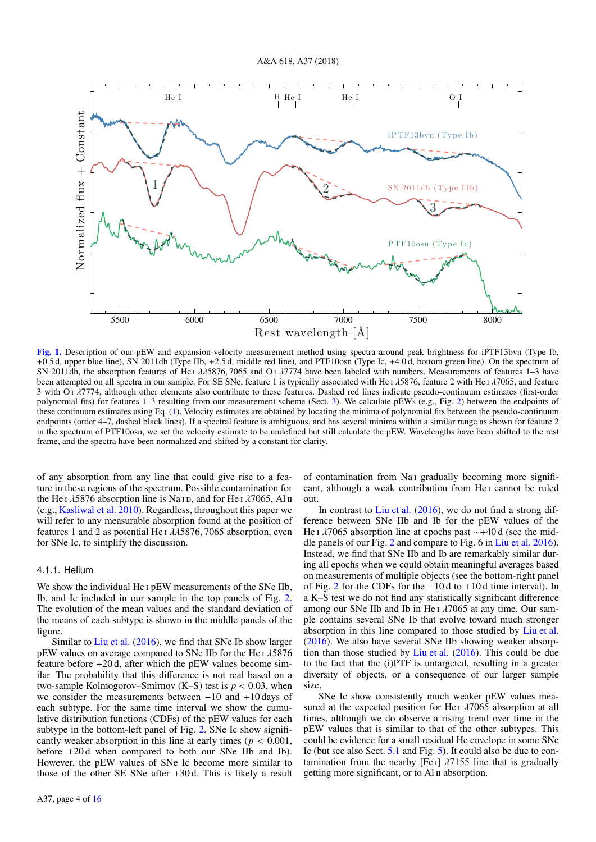

<span id="page-3-0"></span>[Fig. 1.](https://dexter.edpsciences.org/applet.php?DOI=10.1051/0004-6361/201731701&pdf_id=1) Description of our pEW and expansion-velocity measurement method using spectra around peak brightness for iPTF13bvn (Type Ib, +0.5 d, upper blue line), SN 2011dh (Type IIb, +2.5 d, middle red line), and PTF10osn (Type Ic, +4.0 d, bottom green line). On the spectrum of SN 2011dh, the absorption features of He<sub>1</sub> λλ5876, 7065 and Οι λ7774 have been labeled with numbers. Measurements of features 1–3 have been attempted on all spectra in our sample. For SE SNe, feature 1 is typically associated with He  $\lambda$  1876, feature 2 with He  $\lambda$  17065, and feature 3 with O<sub>1</sub>  $\lambda$ 7774, although other elements also contribute to these features. Dashed red lines indicate pseudo-continuum estimates (first-order polynomial fits) for features 1–3 resulting from our measurement scheme (Sect. [3\)](#page-1-5). We calculate pEWs (e.g., Fig. [2\)](#page-4-0) between the endpoints of these continuum estimates using Eq. [\(1\)](#page-2-5). Velocity estimates are obtained by locating the minima of polynomial fits between the pseudo-continuum endpoints (order 4–7, dashed black lines). If a spectral feature is ambiguous, and has several minima within a similar range as shown for feature 2 in the spectrum of PTF10osn, we set the velocity estimate to be undefined but still calculate the pEW. Wavelengths have been shifted to the rest frame, and the spectra have been normalized and shifted by a constant for clarity.

of any absorption from any line that could give rise to a feature in these regions of the spectrum. Possible contamination for the He i  $\lambda$ 5876 absorption line is Na i b, and for He i  $\lambda$ 7065, Al ii (e.g., [Kasliwal et al.](#page-12-37) [2010\)](#page-12-37). Regardless, throughout this paper we will refer to any measurable absorption found at the position of features 1 and 2 as potential He  $I \lambda$   $\lambda$  5876, 7065 absorption, even for SNe Ic, to simplify the discussion.

## 4.1.1. Helium

We show the individual He I pEW measurements of the SNe IIb, Ib, and Ic included in our sample in the top panels of Fig. [2.](#page-4-0) The evolution of the mean values and the standard deviation of the means of each subtype is shown in the middle panels of the figure.

Similar to [Liu et al.](#page-12-13) [\(2016\)](#page-12-13), we find that SNe Ib show larger pEW values on average compared to SNe IIb for the He<sub>I</sub>  $\lambda$ 5876 feature before +20 d, after which the pEW values become similar. The probability that this difference is not real based on a two-sample Kolmogorov–Smirnov (K–S) test is  $p < 0.03$ , when we consider the measurements between  $-10$  and  $+10$  days of each subtype. For the same time interval we show the cumulative distribution functions (CDFs) of the pEW values for each subtype in the bottom-left panel of Fig. [2.](#page-4-0) SNe Ic show significantly weaker absorption in this line at early times ( $p < 0.001$ , before +20 d when compared to both our SNe IIb and Ib). However, the pEW values of SNe Ic become more similar to those of the other SE SNe after +30 d. This is likely a result

of contamination from Na i gradually becoming more significant, although a weak contribution from He<sub>I</sub> cannot be ruled out.

In contrast to [Liu et al.](#page-12-13) [\(2016\)](#page-12-13), we do not find a strong difference between SNe IIb and Ib for the pEW values of the He ι λ7065 absorption line at epochs past ~+40 d (see the middle panels of our Fig. [2](#page-4-0) and compare to Fig. 6 in [Liu et al.](#page-12-13) [2016\)](#page-12-13). Instead, we find that SNe IIb and Ib are remarkably similar during all epochs when we could obtain meaningful averages based on measurements of multiple objects (see the bottom-right panel of Fig. [2](#page-4-0) for the CDFs for the −10 d to +10 d time interval). In a K–S test we do not find any statistically significant difference among our SNe IIb and Ib in He<sub>I</sub>  $\lambda$ 7065 at any time. Our sample contains several SNe Ib that evolve toward much stronger absorption in this line compared to those studied by [Liu et al.](#page-12-13) [\(2016\)](#page-12-13). We also have several SNe IIb showing weaker absorption than those studied by [Liu et al.](#page-12-13) [\(2016\)](#page-12-13). This could be due to the fact that the (i)PTF is untargeted, resulting in a greater diversity of objects, or a consequence of our larger sample size.

SNe Ic show consistently much weaker pEW values measured at the expected position for He<sub>I</sub>  $\lambda$ 7065 absorption at all times, although we do observe a rising trend over time in the pEW values that is similar to that of the other subtypes. This could be evidence for a small residual He envelope in some SNe Ic (but see also Sect. [5.1](#page-6-1) and Fig. [5\)](#page-8-1). It could also be due to contamination from the nearby [Fe I]  $\lambda$ 7155 line that is gradually getting more significant, or to Al ii absorption.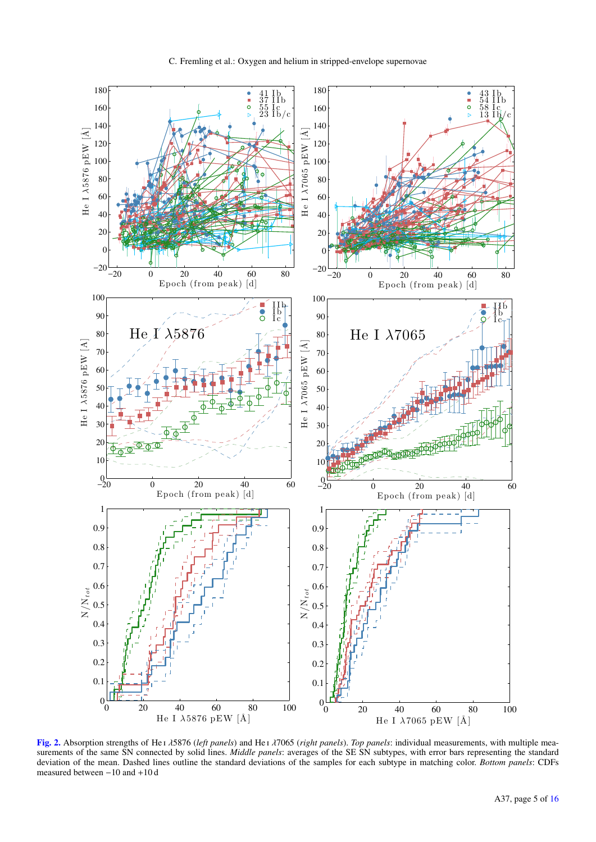

<span id="page-4-0"></span>[Fig. 2.](https://dexter.edpsciences.org/applet.php?DOI=10.1051/0004-6361/201731701&pdf_id=2) Absorption strengths of He <sup>i</sup> λ5876 (*left panels*) and He <sup>i</sup> λ7065 (*right panels*). *Top panels*: individual measurements, with multiple measurements of the same SN connected by solid lines. *Middle panels*: averages of the SE SN subtypes, with error bars representing the standard deviation of the mean. Dashed lines outline the standard deviations of the samples for each subtype in matching color. *Bottom panels*: CDFs measured between −10 and +10 d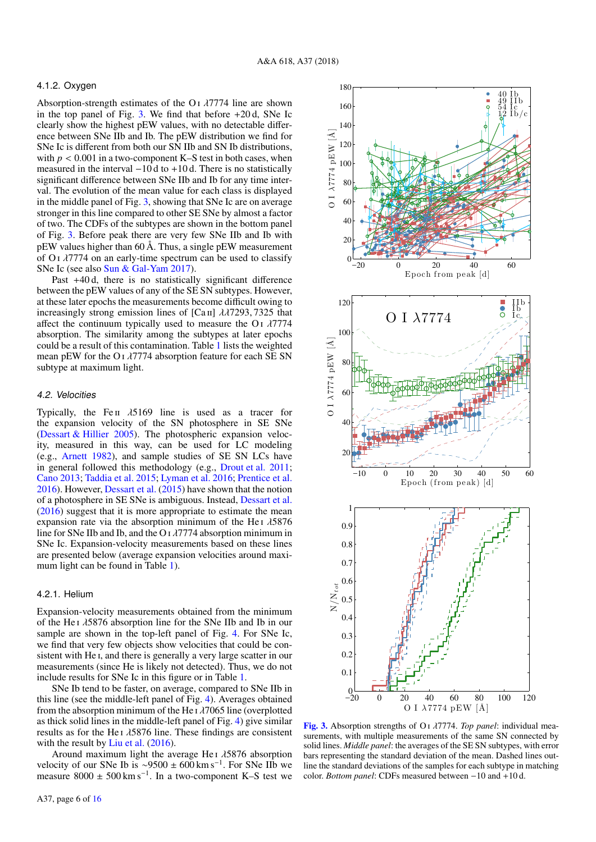## 4.1.2. Oxygen

Absorption-strength estimates of the O<sub>I</sub>  $\lambda$ 7774 line are shown in the top panel of Fig. [3.](#page-5-0) We find that before  $+20d$ , SNe Ic clearly show the highest pEW values, with no detectable difference between SNe IIb and Ib. The pEW distribution we find for SNe Ic is different from both our SN IIb and SN Ib distributions, with  $p < 0.001$  in a two-component K–S test in both cases, when measured in the interval −10 d to +10 d. There is no statistically significant difference between SNe IIb and Ib for any time interval. The evolution of the mean value for each class is displayed in the middle panel of Fig. [3,](#page-5-0) showing that SNe Ic are on average stronger in this line compared to other SE SNe by almost a factor of two. The CDFs of the subtypes are shown in the bottom panel of Fig. [3.](#page-5-0) Before peak there are very few SNe IIb and Ib with pEW values higher than 60 Å. Thus, a single pEW measurement of  $O<sub>I</sub>$   $\lambda$ 7774 on an early-time spectrum can be used to classify SNe Ic (see also [Sun & Gal-Yam](#page-12-38) [2017\)](#page-12-38).

Past +40 d, there is no statistically significant difference between the pEW values of any of the SE SN subtypes. However, at these later epochs the measurements become difficult owing to increasingly strong emission lines of  $[Ca II]$   $\lambda\lambda$ 7293, 7325 that affect the continuum typically used to measure the O<sub>I</sub>  $\lambda$ 7774 absorption. The similarity among the subtypes at later epochs could be a result of this contamination. Table [1](#page-6-2) lists the weighted mean pEW for the O<sub>I</sub>  $\lambda$ 7774 absorption feature for each SE SN subtype at maximum light.

#### 4.2. Velocities

Typically, the Fe II  $\lambda$ 5169 line is used as a tracer for the expansion velocity of the SN photosphere in SE SNe [\(Dessart & Hillier](#page-12-39) [2005\)](#page-12-39). The photospheric expansion velocity, measured in this way, can be used for LC modeling (e.g., [Arnett](#page-12-40) [1982\)](#page-12-40), and sample studies of SE SN LCs have in general followed this methodology (e.g., [Drout et al.](#page-12-41) [2011;](#page-12-41) [Cano](#page-12-42) [2013;](#page-12-42) [Taddia et al.](#page-12-30) [2015;](#page-12-30) [Lyman et al.](#page-12-43) [2016;](#page-12-43) [Prentice et al.](#page-12-21) [2016\)](#page-12-21). However, [Dessart et al.](#page-12-44) [\(2015\)](#page-12-44) have shown that the notion of a photosphere in SE SNe is ambiguous. Instead, [Dessart et al.](#page-12-45) [\(2016\)](#page-12-45) suggest that it is more appropriate to estimate the mean expansion rate via the absorption minimum of the He<sub>I</sub>  $\lambda$ 5876 line for SNe IIb and Ib, and the O  $\frac{1}{7774}$  absorption minimum in SNe Ic. Expansion-velocity measurements based on these lines are presented below (average expansion velocities around maximum light can be found in Table [1\)](#page-6-2).

#### <span id="page-5-1"></span>4.2.1. Helium

Expansion-velocity measurements obtained from the minimum of the He<sub>I</sub>  $\lambda$ 5876 absorption line for the SNe IIb and Ib in our sample are shown in the top-left panel of Fig. [4.](#page-7-0) For SNe Ic, we find that very few objects show velocities that could be consistent with He i, and there is generally a very large scatter in our measurements (since He is likely not detected). Thus, we do not include results for SNe Ic in this figure or in Table [1.](#page-6-2)

SNe Ib tend to be faster, on average, compared to SNe IIb in this line (see the middle-left panel of Fig. [4\)](#page-7-0). Averages obtained from the absorption minimum of the He  $\lambda$  7065 line (overplotted as thick solid lines in the middle-left panel of Fig. [4\)](#page-7-0) give similar results as for the He<sub>I</sub>  $\lambda$ 5876 line. These findings are consistent with the result by [Liu et al.](#page-12-13) [\(2016\)](#page-12-13).

Around maximum light the average He<sub>I</sub>  $\lambda$ 5876 absorption velocity of our SNe Ib is ~9500 ± 600 km s<sup>-1</sup>. For SNe IIb we measure  $8000 \pm 500$  km s<sup>-1</sup>. In a two-component K–S test we



<span id="page-5-0"></span>[Fig. 3.](https://dexter.edpsciences.org/applet.php?DOI=10.1051/0004-6361/201731701&pdf_id=3) Absorption strengths of O <sup>i</sup> λ7774. *Top panel*: individual measurements, with multiple measurements of the same SN connected by solid lines. *Middle panel*: the averages of the SE SN subtypes, with error bars representing the standard deviation of the mean. Dashed lines outline the standard deviations of the samples for each subtype in matching color. *Bottom panel*: CDFs measured between −10 and +10 d.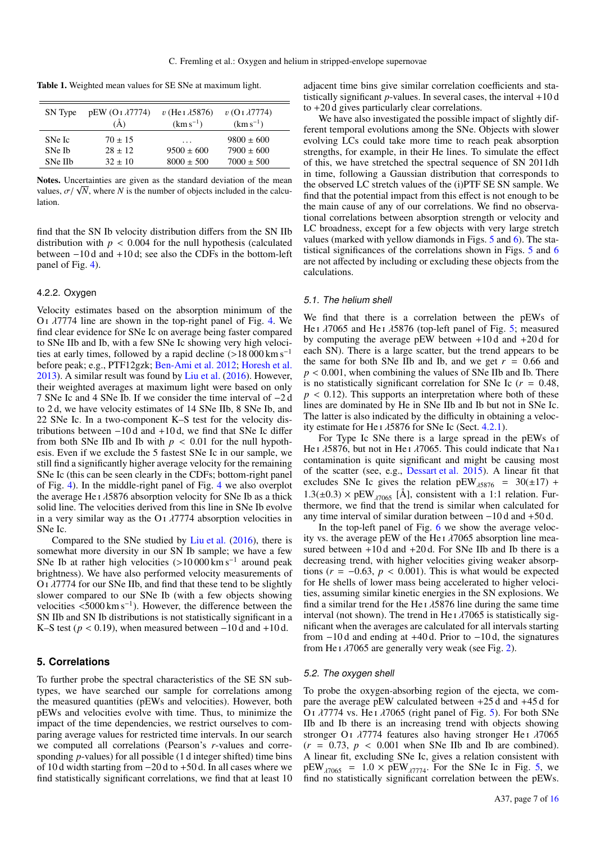<span id="page-6-2"></span>Table 1. Weighted mean values for SE SNe at maximum light.

| SN Type | $pEW$ (O $\lambda$ 7774)<br>$\mathring{A}$ | $v$ (He I $\lambda$ 5876)<br>$(km s^{-1})$ | $v$ (O I $\lambda$ 7774)<br>$(km s^{-1})$ |
|---------|--------------------------------------------|--------------------------------------------|-------------------------------------------|
| SNe Ic  | $70 \pm 15$                                | .                                          | $9800 \pm 600$                            |
| SNe Ib  | $28 \pm 12$                                | $9500 \pm 600$                             | $7900 \pm 600$                            |
| SNe IIb | $32 \pm 10$                                | $8000 \pm 500$                             | $7000 \pm 500$                            |

Notes. Uncertainties are given as the standard deviation of the mean **volues.** Oncertainties are given as the standard deviation of the mean values,  $\sigma / \sqrt{N}$ , where *N* is the number of objects included in the calculation lation.

find that the SN Ib velocity distribution differs from the SN IIb distribution with  $p < 0.004$  for the null hypothesis (calculated between −10 d and +10 d; see also the CDFs in the bottom-left panel of Fig. [4\)](#page-7-0).

## 4.2.2. Oxygen

Velocity estimates based on the absorption minimum of the O<sub>I</sub>  $λ7774$  line are shown in the top-right panel of Fig. [4.](#page-7-0) We find clear evidence for SNe Ic on average being faster compared to SNe IIb and Ib, with a few SNe Ic showing very high velocities at early times, followed by a rapid decline  $(>18\,000 \text{ km s}^{-1})$ before peak; e.g., PTF12gzk; [Ben-Ami et al.](#page-12-46) [2012;](#page-12-46) [Horesh et al.](#page-12-25) [2013\)](#page-12-25). A similar result was found by [Liu et al.](#page-12-13) [\(2016\)](#page-12-13). However, their weighted averages at maximum light were based on only 7 SNe Ic and 4 SNe Ib. If we consider the time interval of −2 d to 2 d, we have velocity estimates of 14 SNe IIb, 8 SNe Ib, and 22 SNe Ic. In a two-component K–S test for the velocity distributions between −10 d and +10 d, we find that SNe Ic differ from both SNe IIb and Ib with  $p < 0.01$  for the null hypothesis. Even if we exclude the 5 fastest SNe Ic in our sample, we still find a significantly higher average velocity for the remaining SNe Ic (this can be seen clearly in the CDFs; bottom-right panel of Fig. [4\)](#page-7-0). In the middle-right panel of Fig. [4](#page-7-0) we also overplot the average He  $\frac{1}{5876}$  absorption velocity for SNe Ib as a thick solid line. The velocities derived from this line in SNe Ib evolve in a very similar way as the O<sub>I</sub>  $\lambda$ 7774 absorption velocities in SNe Ic.

Compared to the SNe studied by [Liu et al.](#page-12-13) [\(2016\)](#page-12-13), there is somewhat more diversity in our SN Ib sample; we have a few SNe Ib at rather high velocities  $(>10000 \text{ km s}^{-1})$  around peak<br>brightness). We have also performed velocity measurements of brightness). We have also performed velocity measurements of <sup>O</sup> <sup>i</sup> λ7774 for our SNe IIb, and find that these tend to be slightly slower compared to our SNe Ib (with a few objects showing velocities <5000 km s<sup>-1</sup>). However, the difference between the SN IIb and SN Ib distributions is not statistically significant in a SN IIb and SN Ib distributions is not statistically significant in a K–S test ( $p < 0.19$ ), when measured between  $-10 d$  and  $+10 d$ .

## <span id="page-6-0"></span>**5. Correlations**

To further probe the spectral characteristics of the SE SN subtypes, we have searched our sample for correlations among the measured quantities (pEWs and velocities). However, both pEWs and velocities evolve with time. Thus, to minimize the impact of the time dependencies, we restrict ourselves to comparing average values for restricted time intervals. In our search we computed all correlations (Pearson's *r*-values and corresponding *p*-values) for all possible (1 d integer shifted) time bins of 10 d width starting from −20 d to +50 d. In all cases where we find statistically significant correlations, we find that at least 10 adjacent time bins give similar correlation coefficients and statistically significant  $p$ -values. In several cases, the interval  $+10d$ to +20 d gives particularly clear correlations.

We have also investigated the possible impact of slightly different temporal evolutions among the SNe. Objects with slower evolving LCs could take more time to reach peak absorption strengths, for example, in their He lines. To simulate the effect of this, we have stretched the spectral sequence of SN 2011dh in time, following a Gaussian distribution that corresponds to the observed LC stretch values of the (i)PTF SE SN sample. We find that the potential impact from this effect is not enough to be the main cause of any of our correlations. We find no observational correlations between absorption strength or velocity and LC broadness, except for a few objects with very large stretch values (marked with yellow diamonds in Figs. [5](#page-8-1) and [6\)](#page-9-0). The statistical significances of the correlations shown in Figs. [5](#page-8-1) and [6](#page-9-0) are not affected by including or excluding these objects from the calculations.

## <span id="page-6-1"></span>5.1. The helium shell

We find that there is a correlation between the pEWs of He I  $\lambda$ 7065 and He I  $\lambda$ 5876 (top-left panel of Fig. [5;](#page-8-1) measured by computing the average pEW between  $+10d$  and  $+20d$  for each SN). There is a large scatter, but the trend appears to be the same for both SNe IIb and Ib, and we get  $r = 0.66$  and *<sup>p</sup>* < <sup>0</sup>.001, when combining the values of SNe IIb and Ib. There is no statistically significant correlation for SNe Ic (*<sup>r</sup>* <sup>=</sup> <sup>0</sup>.48,  $p < 0.12$ ). This supports an interpretation where both of these lines are dominated by He in SNe IIb and Ib but not in SNe Ic. The latter is also indicated by the difficulty in obtaining a velocity estimate for He I  $\lambda$ 5876 for SNe Ic (Sect. [4.2.1\)](#page-5-1).

For Type Ic SNe there is a large spread in the pEWs of He I  $\lambda$ 5876, but not in He I  $\lambda$ 7065. This could indicate that Na I contamination is quite significant and might be causing most of the scatter (see, e.g., [Dessart et al.](#page-12-44) [2015\)](#page-12-44). A linear fit that excludes SNe Ic gives the relation  $pEW_{\lambda 5876} = 30(\pm 17) +$ <br>1.2(1.0.2)  $\times pEW$  [Å] consistent with a 1.1 relation Fur.  $1.3(\pm 0.3) \times \text{pEW}_{\lambda7065}$  [Å], consistent with a 1:1 relation. Furthermore, we find that the trend is similar when calculated for any time interval of similar duration between −10 d and +50 d.

In the top-left panel of Fig. [6](#page-9-0) we show the average velocity vs. the average pEW of the He  $\lambda$   $\lambda$  7065 absorption line measured between +10 d and +20 d. For SNe IIb and Ib there is a decreasing trend, with higher velocities giving weaker absorptions ( $r = -0.63$ ,  $p < 0.001$ ). This is what would be expected for He shells of lower mass being accelerated to higher velocities, assuming similar kinetic energies in the SN explosions. We find a similar trend for the He  $\lambda$  15876 line during the same time interval (not shown). The trend in He  $\iota$   $\lambda$ 7065 is statistically significant when the averages are calculated for all intervals starting from  $-10d$  and ending at  $+40d$ . Prior to  $-10d$ , the signatures from He I  $\lambda$ 7065 are generally very weak (see Fig. [2\)](#page-4-0).

## 5.2. The oxygen shell

To probe the oxygen-absorbing region of the ejecta, we compare the average pEW calculated between +25 d and +45 d for O<sub>I</sub>  $λ7774$  vs. He<sub>I</sub> $λ7065$  (right panel of Fig. [5\)](#page-8-1). For both SNe IIb and Ib there is an increasing trend with objects showing stronger O<sub>I</sub>  $\lambda$ 7774 features also having stronger He<sub>I</sub>  $\lambda$ 7065  $(r = 0.73, p < 0.001$  when SNe IIb and Ib are combined). A linear fit, excluding SNe Ic, gives a relation consistent with  $pEW_{\lambda7065}$  = 1.0  $\times$   $pEW_{\lambda7774}$ . For the SNe Ic in Fig. [5,](#page-8-1) we find no statistically significant correlation between the pEWs find no statistically significant correlation between the pEWs.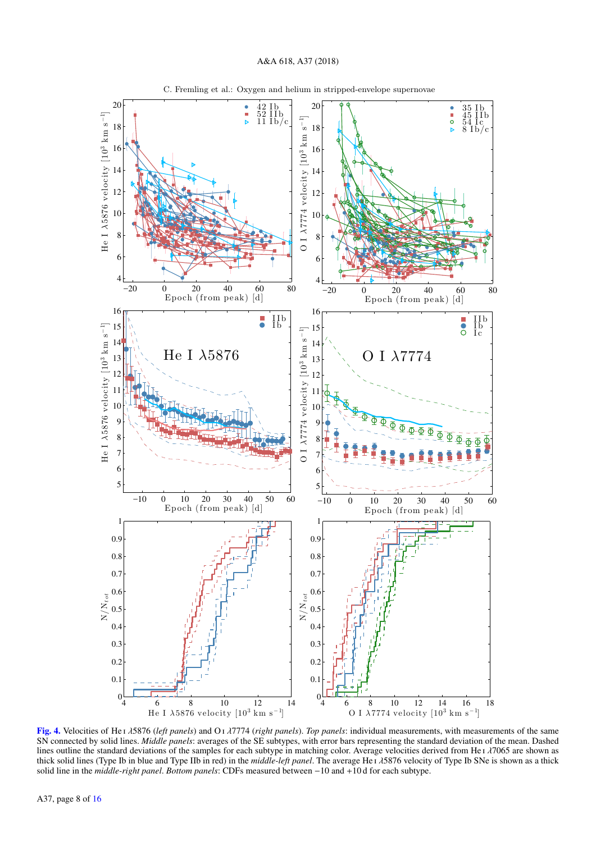

C. Fremling et al.: Oxygen and helium in stripped-envelope supernovae

<span id="page-7-0"></span>[Fig. 4.](https://dexter.edpsciences.org/applet.php?DOI=10.1051/0004-6361/201731701&pdf_id=4) Velocities of He <sup>i</sup> λ5876 (*left panels*) and O <sup>i</sup> λ7774 (*right panels*). *Top panels*: individual measurements, with measurements of the same SN connected by solid lines. *Middle panels*: averages of the SE subtypes, with error bars representing the standard deviation of the mean. Dashed lines outline the standard deviations of the samples for each subtype in matching color. Average velocities derived from He <sup>i</sup> λ7065 are shown as thick solid lines (Type Ib in blue and Type IIb in red) in the *middle-left panel*. The average He <sup>i</sup> λ5876 velocity of Type Ib SNe is shown as a thick solid line in the *middle-right panel*. *Bottom panels*: CDFs measured between −10 and +10 d for each subtype.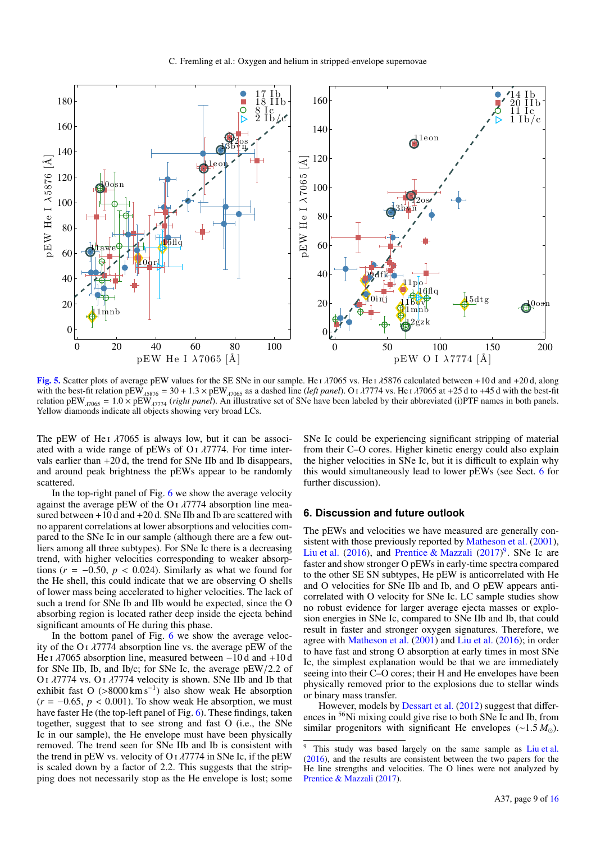

<span id="page-8-1"></span>**[Fig. 5.](https://dexter.edpsciences.org/applet.php?DOI=10.1051/0004-6361/201731701&pdf_id=5)** Scatter plots of average pEW values for the SE SNe in our sample. He  $\frac{1}{1000}$  vs. He  $\frac{1}{1000}$  calculated between +10 d and +20 d, along with the best-fit relation pEW  $_{\frac{1}{1000}}$  = 30 + 1.3 × pEW  $_{\frac{$ relation pEW<sub>λ7065</sub> = 1.0 × pEW<sub>λ7774</sub> (*right panel*). An illustrative set of SNe have been labeled by their abbreviated (i)PTF names in both panels.<br>Yellow diamonds indicate all objects showing very broad LCs Yellow diamonds indicate all objects showing very broad LCs.

The pEW of He<sub>I</sub>  $\lambda$ 7065 is always low, but it can be associ-ated with a wide range of pEWs of O<sub>I</sub>  $\lambda$ 7774. For time intervals earlier than +20 d, the trend for SNe IIb and Ib disappears, and around peak brightness the pEWs appear to be randomly scattered.

In the top-right panel of Fig.  $6$  we show the average velocity against the average pEW of the O<sub>I</sub>  $\lambda$ 7774 absorption line measured between  $+10$  d and  $+20$  d. SNe IIb and Ib are scattered with no apparent correlations at lower absorptions and velocities compared to the SNe Ic in our sample (although there are a few outliers among all three subtypes). For SNe Ic there is a decreasing trend, with higher velocities corresponding to weaker absorptions ( $r = -0.50$ ,  $p < 0.024$ ). Similarly as what we found for the He shell, this could indicate that we are observing O shells of lower mass being accelerated to higher velocities. The lack of such a trend for SNe Ib and IIb would be expected, since the O absorbing region is located rather deep inside the ejecta behind significant amounts of He during this phase.

In the bottom panel of Fig. [6](#page-9-0) we show the average velocity of the O<sub>I</sub>  $\lambda$ 7774 absorption line vs. the average pEW of the He <sup>i</sup> λ7065 absorption line, measured between <sup>−</sup>10 d and <sup>+</sup>10 d for SNe IIb, Ib, and Ib/c; for SNe Ic, the average pEW/2.2 of O<sub>I</sub>  $λ7774$  vs. O<sub>I</sub> $λ7774$  velocity is shown. SNe IIb and Ib that exhibit fast O (>8000 km s<sup>-1</sup>) also show weak He absorption  $(r = -0.65, p < 0.001)$  To show weak He absorption we must  $(r = -0.65, p < 0.001)$ . To show weak He absorption, we must have faster He (the top-left panel of Fig. [6\)](#page-9-0). These findings, taken together, suggest that to see strong and fast O (i.e., the SNe Ic in our sample), the He envelope must have been physically removed. The trend seen for SNe IIb and Ib is consistent with the trend in pEW vs. velocity of O<sub>I</sub> $\lambda$ 7774 in SNe Ic, if the pEW is scaled down by a factor of 2.2. This suggests that the stripping does not necessarily stop as the He envelope is lost; some SNe Ic could be experiencing significant stripping of material from their C–O cores. Higher kinetic energy could also explain the higher velocities in SNe Ic, but it is difficult to explain why this would simultaneously lead to lower pEWs (see Sect. [6](#page-8-0) for further discussion).

## <span id="page-8-0"></span>**6. Discussion and future outlook**

The pEWs and velocities we have measured are generally consistent with those previously reported by [Matheson et al.](#page-12-12) [\(2001\)](#page-12-12), [Liu et al.](#page-12-13) [\(2016\)](#page-12-13), and [Prentice & Mazzali](#page-12-47) [\(2017\)](#page-12-47)<sup>[9](#page-8-2)</sup>. SNe Ic are faster and show stronger O pEWs in early-time spectra compared to the other SE SN subtypes, He pEW is anticorrelated with He and O velocities for SNe IIb and Ib, and O pEW appears anticorrelated with O velocity for SNe Ic. LC sample studies show no robust evidence for larger average ejecta masses or explosion energies in SNe Ic, compared to SNe IIb and Ib, that could result in faster and stronger oxygen signatures. Therefore, we agree with [Matheson et al.](#page-12-12) [\(2001\)](#page-12-12) and [Liu et al.](#page-12-13) [\(2016\)](#page-12-13); in order to have fast and strong O absorption at early times in most SNe Ic, the simplest explanation would be that we are immediately seeing into their C–O cores; their H and He envelopes have been physically removed prior to the explosions due to stellar winds or binary mass transfer.

However, models by [Dessart et al.](#page-12-9) [\(2012\)](#page-12-9) suggest that differences in <sup>56</sup>Ni mixing could give rise to both SNe Ic and Ib, from similar progenitors with significant He envelopes (∼1.5 *M*<sub>∩</sub>).

<span id="page-8-2"></span>This study was based largely on the same sample as [Liu et al.](#page-12-13) [\(2016\)](#page-12-13), and the results are consistent between the two papers for the He line strengths and velocities. The O lines were not analyzed by [Prentice & Mazzali](#page-12-47) [\(2017\)](#page-12-47).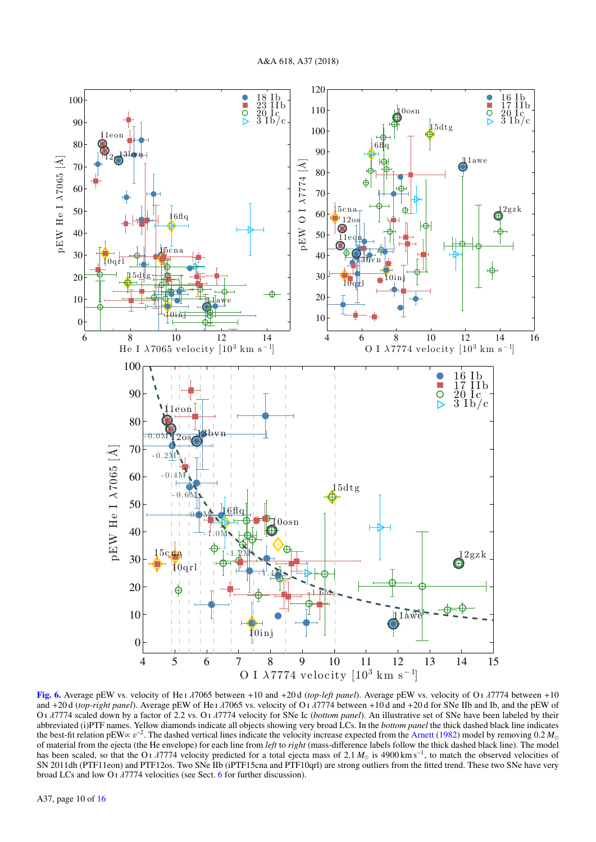

<span id="page-9-0"></span>[Fig. 6.](https://dexter.edpsciences.org/applet.php?DOI=10.1051/0004-6361/201731701&pdf_id=6) Average pEW vs. velocity of He <sup>i</sup> λ7065 between <sup>+</sup>10 and <sup>+</sup>20 d (*top-left panel*). Average pEW vs. velocity of O <sup>i</sup> λ7774 between <sup>+</sup><sup>10</sup> and <sup>+</sup>20 d (*top-right panel*). Average pEW of He <sup>i</sup> λ7065 vs. velocity of O <sup>i</sup> λ7774 between <sup>+</sup>10 d and <sup>+</sup>20 d for SNe IIb and Ib, and the pEW of <sup>O</sup> <sup>i</sup> λ7774 scaled down by a factor of 2.2 vs. O <sup>i</sup> λ7774 velocity for SNe Ic (*bottom panel*). An illustrative set of SNe have been labeled by their abbreviated (i)PTF names. Yellow diamonds indicate all objects showing very broad LCs. In the *bottom panel* the thick dashed black line indicates the best-fit relation pEW∝  $v^{-2}$ . The dashed vertical lines indicate the velocity increase expected from the [Arnett](#page-12-40) [\(1982\)](#page-12-40) model by removing 0.2  $M_{\odot}$ <br>of material from the ejecta (the He envelope) for each line from of material from the ejecta (the He envelope) for each line from *left* to *right* (mass-difference labels follow the thick dashed black line). The model has been scaled, so that the O<sub>J</sub> *λ*7774 velocity predicted for a total ejecta mass of 2.1 *M*<sub>☉</sub> is 4900 km s<sup>−1</sup>, to match the observed velocities of SNe have very solve the SNe have very snaps and PTF10αrl) are stron SN 2011dh (PTF11eon) and PTF12os. Two SNe IIb (iPTF15cna and PTF10qrl) are strong outliers from the fitted trend. These two SNe have very broad LCs and low O<sub>I</sub>  $\lambda$ 7774 velocities (see Sect. [6](#page-8-0) for further discussion).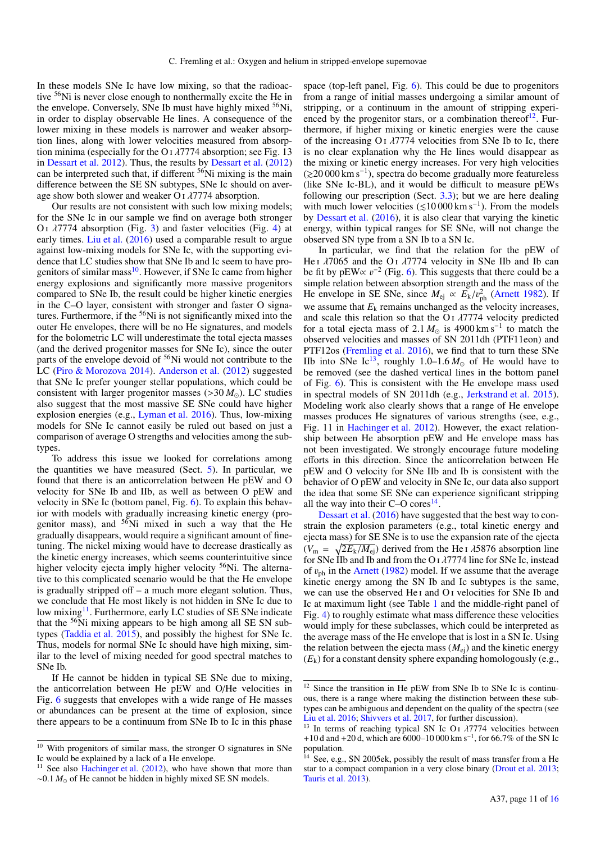In these models SNe Ic have low mixing, so that the radioactive <sup>56</sup>Ni is never close enough to nonthermally excite the He in the envelope. Conversely, SNe Ib must have highly mixed <sup>56</sup>Ni, in order to display observable He lines. A consequence of the lower mixing in these models is narrower and weaker absorption lines, along with lower velocities measured from absorption minima (especially for the O<sub>I</sub> $\lambda$ 7774 absorption; see Fig. 13 in [Dessart et al.](#page-12-9) [2012\)](#page-12-9). Thus, the results by [Dessart et al.](#page-12-9) [\(2012\)](#page-12-9) can be interpreted such that, if different <sup>56</sup>Ni mixing is the main difference between the SE SN subtypes, SNe Ic should on average show both slower and weaker O <sup>i</sup> λ7774 absorption.

Our results are not consistent with such low mixing models; for the SNe Ic in our sample we find on average both stronger O<sub>I</sub>  $λ7774$  absorption (Fig. [3\)](#page-5-0) and faster velocities (Fig. [4\)](#page-7-0) at early times. [Liu et al.](#page-12-13) [\(2016\)](#page-12-13) used a comparable result to argue against low-mixing models for SNe Ic, with the supporting evidence that LC studies show that SNe Ib and Ic seem to have progenitors of similar mass  $10$ . However, if SNe Ic came from higher energy explosions and significantly more massive progenitors compared to SNe Ib, the result could be higher kinetic energies in the C–O layer, consistent with stronger and faster O signatures. Furthermore, if the <sup>56</sup>Ni is not significantly mixed into the outer He envelopes, there will be no He signatures, and models for the bolometric LC will underestimate the total ejecta masses (and the derived progenitor masses for SNe Ic), since the outer parts of the envelope devoid of <sup>56</sup>Ni would not contribute to the LC [\(Piro & Morozova](#page-12-10) [2014\)](#page-12-10). [Anderson et al.](#page-12-48) [\(2012\)](#page-12-48) suggested that SNe Ic prefer younger stellar populations, which could be consistent with larger progenitor masses  $(>30 M_{\odot})$ . LC studies also suggest that the most massive SE SNe could have higher explosion energies (e.g., [Lyman et al.](#page-12-43) [2016\)](#page-12-43). Thus, low-mixing models for SNe Ic cannot easily be ruled out based on just a comparison of average O strengths and velocities among the subtypes.

To address this issue we looked for correlations among the quantities we have measured (Sect. [5\)](#page-6-0). In particular, we found that there is an anticorrelation between He pEW and O velocity for SNe Ib and IIb, as well as between O pEW and velocity in SNe Ic (bottom panel, Fig. [6\)](#page-9-0). To explain this behavior with models with gradually increasing kinetic energy (progenitor mass), and  $56$ Ni mixed in such a way that the He gradually disappears, would require a significant amount of finetuning. The nickel mixing would have to decrease drastically as the kinetic energy increases, which seems counterintuitive since higher velocity ejecta imply higher velocity <sup>56</sup>Ni. The alternative to this complicated scenario would be that the He envelope is gradually stripped off – a much more elegant solution. Thus, we conclude that He most likely is not hidden in SNe Ic due to low mixing<sup>[11](#page-10-1)</sup>. Furthermore, early LC studies of SE SNe indicate that the  $56$ Ni mixing appears to be high among all SE SN subtypes [\(Taddia et al.](#page-12-30) [2015\)](#page-12-30), and possibly the highest for SNe Ic. Thus, models for normal SNe Ic should have high mixing, similar to the level of mixing needed for good spectral matches to SNe Ib.

If He cannot be hidden in typical SE SNe due to mixing, the anticorrelation between He pEW and O/He velocities in Fig. [6](#page-9-0) suggests that envelopes with a wide range of He masses or abundances can be present at the time of explosion, since there appears to be a continuum from SNe Ib to Ic in this phase

space (top-left panel, Fig. [6\)](#page-9-0). This could be due to progenitors from a range of initial masses undergoing a similar amount of stripping, or a continuum in the amount of stripping experienced by the progenitor stars, or a combination thereof $^{12}$  $^{12}$  $^{12}$ . Furthermore, if higher mixing or kinetic energies were the cause of the increasing O<sub>I</sub>  $\lambda$ 7774 velocities from SNe Ib to Ic, there is no clear explanation why the He lines would disappear as the mixing or kinetic energy increases. For very high velocities (&20 000 km s−<sup>1</sup> ), spectra do become gradually more featureless (like SNe Ic-BL), and it would be difficult to measure pEWs following our prescription (Sect. [3.3\)](#page-2-4); but we are here dealing with much lower velocities  $(\leq 10000 \text{ km s}^{-1})$ . From the models by [Dessart et al.](#page-12-45) [\(2016\)](#page-12-45), it is also clear that varying the kinetic energy, within typical ranges for SE SNe, will not change the observed SN type from a SN Ib to a SN Ic.

In particular, we find that the relation for the pEW of He I  $\lambda$ 7065 and the O<sub>I</sub>  $\lambda$ 7774 velocity in SNe IIb and Ib can be fit by pEW $\propto v^{-2}$  (Fig. [6\)](#page-9-0). This suggests that there could be a simple relation between absorption strength and the mass of the simple relation between absorption strength and the mass of the He envelope in SE SNe, since  $M_{ej} \propto E_k/v_{ph}^2$  [\(Arnett](#page-12-40) [1982\)](#page-12-40). If we assume that  $E_k$  remains unchanged as the velocity increases, and scale this relation so that the  $O<sub>I</sub>$   $\lambda$ 7774 velocity predicted for a total ejecta mass of 2.1  $M_{\odot}$  is 4900 km s<sup>-1</sup> to match the observed velocities and masses of SN 2011dh (PTF11eon) and observed velocities and masses of SN 2011dh (PTF11eon) and PTF12os [\(Fremling et al.](#page-12-20) [2016\)](#page-12-20), we find that to turn these SNe IIb into SNe Ic<sup>[13](#page-10-3)</sup>, roughly 1.0–1.6  $M_{\odot}$  of He would have to be removed (see the dashed vertical lines in the bottom panel of Fig. [6\)](#page-9-0). This is consistent with the He envelope mass used in spectral models of SN 2011dh (e.g., [Jerkstrand et al.](#page-12-50) [2015\)](#page-12-50). Modeling work also clearly shows that a range of He envelope masses produces He signatures of various strengths (see, e.g., Fig. 11 in [Hachinger et al.](#page-12-49) [2012\)](#page-12-49). However, the exact relationship between He absorption pEW and He envelope mass has not been investigated. We strongly encourage future modeling efforts in this direction. Since the anticorrelation between He pEW and O velocity for SNe IIb and Ib is consistent with the behavior of O pEW and velocity in SNe Ic, our data also support the idea that some SE SNe can experience significant stripping all the way into their  $C-O$  cores<sup>[14](#page-10-4)</sup>.

[Dessart et al.](#page-12-45) [\(2016\)](#page-12-45) have suggested that the best way to constrain the explosion parameters (e.g., total kinetic energy and ejecta mass) for SE SNe is to use the expansion rate of the ejecta  $(V_{\rm m} = \sqrt{2E_k/M_{\rm ej}})$  derived from the He i  $\lambda$ 5876 absorption line<br>for SNe IIb and Ib and from the O i  $\lambda$ 7774 line for SNe Ic instead for SNe IIb and Ib and from the O  $\frac{1}{7774}$  line for SNe Ic, instead of  $v_{\text{ph}}$  in the [Arnett](#page-12-40) [\(1982\)](#page-12-40) model. If we assume that the average kinetic energy among the SN Ib and Ic subtypes is the same, we can use the observed He i and O i velocities for SNe Ib and Ic at maximum light (see Table [1](#page-6-2) and the middle-right panel of Fig. [4\)](#page-7-0) to roughly estimate what mass difference these velocities would imply for these subclasses, which could be interpreted as the average mass of the He envelope that is lost in a SN Ic. Using the relation between the ejecta mass  $(M_{\rm ei})$  and the kinetic energy  $(E_k)$  for a constant density sphere expanding homologously (e.g.,

<span id="page-10-0"></span><sup>&</sup>lt;sup>10</sup> With progenitors of similar mass, the stronger O signatures in SNe Ic would be explained by a lack of a He envelope.

<span id="page-10-1"></span><sup>&</sup>lt;sup>11</sup> See also [Hachinger et al.](#page-12-49) [\(2012\)](#page-12-49), who have shown that more than ∼0.1 *M*<sub>o</sub> of He cannot be hidden in highly mixed SE SN models.

<span id="page-10-2"></span> $12$  Since the transition in He pEW from SNe Ib to SNe Ic is continuous, there is a range where making the distinction between these subtypes can be ambiguous and dependent on the quality of the spectra (see [Liu et al.](#page-12-13) [2016;](#page-12-13) [Shivvers et al.](#page-12-34) [2017,](#page-12-34) for further discussion).

<span id="page-10-3"></span><sup>&</sup>lt;sup>13</sup> In terms of reaching typical SN Ic O<sub>I</sub>  $\lambda$ 7774 velocities between +10 d and +20 d, which are 6000–10 000 km s<sup>-1</sup>, for 66.7% of the SN Ic<br>population population.

<span id="page-10-4"></span> $14$  See, e.g., SN 2005ek, possibly the result of mass transfer from a He star to a compact companion in a very close binary [\(Drout et al.](#page-12-51) [2013;](#page-12-51) [Tauris et al.](#page-12-52) [2013\)](#page-12-52).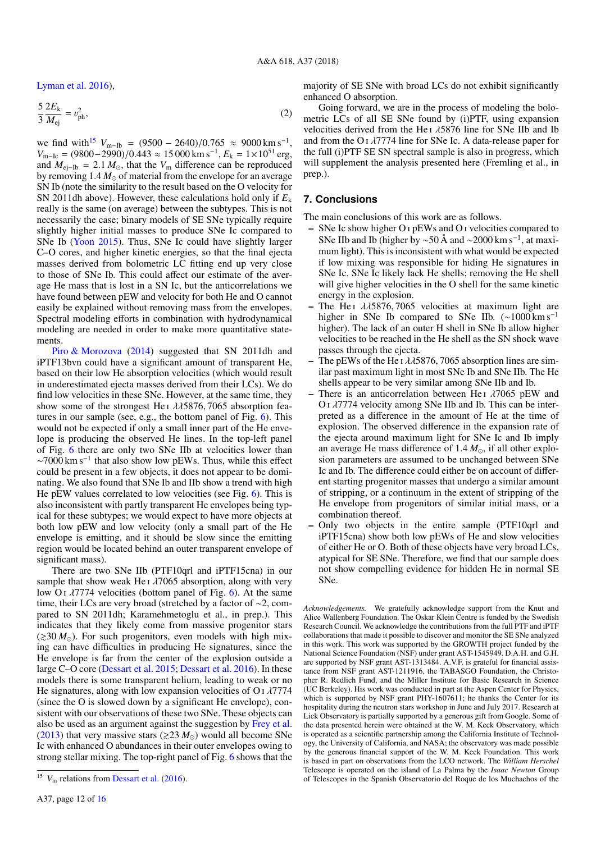[Lyman et al.](#page-12-43) [2016\)](#page-12-43),

$$
\frac{5}{3}\frac{2E_{k}}{M_{ej}} = v_{ph}^{2},
$$
\n(2)

we find with<sup>[15](#page-11-0)</sup>  $V_{\text{m-lb}} = (9500 - 2640)/0.765 \approx 9000 \text{ km s}^{-1}$ ,<br>  $V_{\text{m-lb}} = (9800 - 2990)/0.443 \approx 15000 \text{ km s}^{-1}$ ,  $E_{\text{k}} = 1 \times 10^{51} \text{ erg}$  $V_{m-1c} = (9800-2990)/0.443 \approx 15000 \text{ km s}^{-1}$ ,  $E_k = 1 \times 10^{51} \text{ erg}$ ,<br>and  $M_{\text{at}} = 2.1 M_{\odot}$  that the  $V_m$  difference can be reproduced and  $M_{ei-ID} = 2.1 M_{\odot}$ , that the  $V_m$  difference can be reproduced by removing  $1.4 M_{\odot}$  of material from the envelope for an average SN Ib (note the similarity to the result based on the O velocity for SN 2011dh above). However, these calculations hold only if  $E_k$ really is the same (on average) between the subtypes. This is not necessarily the case; binary models of SE SNe typically require slightly higher initial masses to produce SNe Ic compared to SNe Ib [\(Yoon](#page-12-7) [2015\)](#page-12-7). Thus, SNe Ic could have slightly larger C–O cores, and higher kinetic energies, so that the final ejecta masses derived from bolometric LC fitting end up very close to those of SNe Ib. This could affect our estimate of the average He mass that is lost in a SN Ic, but the anticorrelations we have found between pEW and velocity for both He and O cannot easily be explained without removing mass from the envelopes. Spectral modeling efforts in combination with hydrodynamical modeling are needed in order to make more quantitative statements.

[Piro & Morozova](#page-12-10) [\(2014\)](#page-12-10) suggested that SN 2011dh and iPTF13bvn could have a significant amount of transparent He, based on their low He absorption velocities (which would result in underestimated ejecta masses derived from their LCs). We do find low velocities in these SNe. However, at the same time, they show some of the strongest He<sub>I</sub>  $\lambda$  $\lambda$ 5876, 7065 absorption features in our sample (see, e.g., the bottom panel of Fig. [6\)](#page-9-0). This would not be expected if only a small inner part of the He envelope is producing the observed He lines. In the top-left panel of Fig. [6](#page-9-0) there are only two SNe IIb at velocities lower than  $\sim$ 7000 km s<sup>-1</sup> that also show low pEWs. Thus, while this effect could be present in a few objects, it does not appear to be dominating. We also found that SNe Ib and IIb show a trend with high He pEW values correlated to low velocities (see Fig. [6\)](#page-9-0). This is also inconsistent with partly transparent He envelopes being typical for these subtypes; we would expect to have more objects at both low pEW and low velocity (only a small part of the He envelope is emitting, and it should be slow since the emitting region would be located behind an outer transparent envelope of significant mass).

There are two SNe IIb (PTF10qrl and iPTF15cna) in our sample that show weak He  $\lambda$   $\lambda$  7065 absorption, along with very low O<sub>I</sub>  $\lambda$ 7774 velocities (bottom panel of Fig. [6\)](#page-9-0). At the same time, their LCs are very broad (stretched by a factor of ∼2, compared to SN 2011dh; Karamehmetoglu et al., in prep.). This indicates that they likely come from massive progenitor stars  $(\geq 30 M_{\odot})$ . For such progenitors, even models with high mixing can have difficulties in producing He signatures, since the He envelope is far from the center of the explosion outside a large C–O core [\(Dessart et al.](#page-12-44) [2015;](#page-12-44) [Dessart et al.](#page-12-45) [2016\)](#page-12-45). In these models there is some transparent helium, leading to weak or no He signatures, along with low expansion velocities of O  $\frac{1}{7774}$ (since the O is slowed down by a significant He envelope), consistent with our observations of these two SNe. These objects can also be used as an argument against the suggestion by [Frey et al.](#page-12-8) [\(2013\)](#page-12-8) that very massive stars ( $\geq 23 M_{\odot}$ ) would all become SNe Ic with enhanced O abundances in their outer envelopes owing to strong stellar mixing. The top-right panel of Fig. [6](#page-9-0) shows that the

majority of SE SNe with broad LCs do not exhibit significantly enhanced O absorption.

Going forward, we are in the process of modeling the bolometric LCs of all SE SNe found by (i)PTF, using expansion velocities derived from the He <sup>i</sup> λ5876 line for SNe IIb and Ib and from the O<sub>I</sub>  $\lambda$ 7774 line for SNe Ic. A data-release paper for the full (i)PTF SE SN spectral sample is also in progress, which will supplement the analysis presented here (Fremling et al., in prep.).

## **7. Conclusions**

The main conclusions of this work are as follows.

- SNe Ic show higher O i pEWs and O i velocities compared to SNe IIb and Ib (higher by ~50 Å and ~2000 km s<sup>-1</sup>, at maximum light). This is inconsistent with what would be expected if low mixing was responsible for hiding He signatures in SNe Ic. SNe Ic likely lack He shells; removing the He shell will give higher velocities in the O shell for the same kinetic energy in the explosion.
- The He<sub>I</sub>  $\lambda$  $\lambda$ 5876, 7065 velocities at maximum light are higher in SNe Ib compared to SNe IIb.  $\sim 1000 \,\mathrm{km \, s^{-1}}$ higher). The lack of an outer H shell in SNe Ib allow higher velocities to be reached in the He shell as the SN shock wave passes through the ejecta.
- The pEWs of the He I  $\lambda\lambda$ 5876, 7065 absorption lines are similar past maximum light in most SNe Ib and SNe IIb. The He shells appear to be very similar among SNe IIb and Ib.
- There is an anticorrelation between He  $\lambda$   $\lambda$  7065 pEW and <sup>O</sup> <sup>i</sup> λ7774 velocity among SNe IIb and Ib. This can be interpreted as a difference in the amount of He at the time of explosion. The observed difference in the expansion rate of the ejecta around maximum light for SNe Ic and Ib imply an average He mass difference of  $1.4 M_{\odot}$ , if all other explosion parameters are assumed to be unchanged between SNe Ic and Ib. The difference could either be on account of different starting progenitor masses that undergo a similar amount of stripping, or a continuum in the extent of stripping of the He envelope from progenitors of similar initial mass, or a combination thereof.
- Only two objects in the entire sample (PTF10qrl and iPTF15cna) show both low pEWs of He and slow velocities of either He or O. Both of these objects have very broad LCs, atypical for SE SNe. Therefore, we find that our sample does not show compelling evidence for hidden He in normal SE SNe.

*Acknowledgements.* We gratefully acknowledge support from the Knut and Alice Wallenberg Foundation. The Oskar Klein Centre is funded by the Swedish Research Council. We acknowledge the contributions from the full PTF and iPTF collaborations that made it possible to discover and monitor the SE SNe analyzed in this work. This work was supported by the GROWTH project funded by the National Science Foundation (NSF) under grant AST-1545949. D.A.H. and G.H. are supported by NSF grant AST-1313484. A.V.F. is grateful for financial assistance from NSF grant AST-1211916, the TABASGO Foundation, the Christopher R. Redlich Fund, and the Miller Institute for Basic Research in Science (UC Berkeley). His work was conducted in part at the Aspen Center for Physics, which is supported by NSF grant PHY-1607611; he thanks the Center for its hospitality during the neutron stars workshop in June and July 2017. Research at Lick Observatory is partially supported by a generous gift from Google. Some of the data presented herein were obtained at the W. M. Keck Observatory, which is operated as a scientific partnership among the California Institute of Technology, the University of California, and NASA; the observatory was made possible by the generous financial support of the W. M. Keck Foundation. This work is based in part on observations from the LCO network. The *William Herschel* Telescope is operated on the island of La Palma by the *Isaac Newton* Group of Telescopes in the Spanish Observatorio del Roque de los Muchachos of the

<span id="page-11-0"></span><sup>&</sup>lt;sup>15</sup>  $V<sub>m</sub>$  relations from [Dessart et al.](#page-12-45) [\(2016\)](#page-12-45).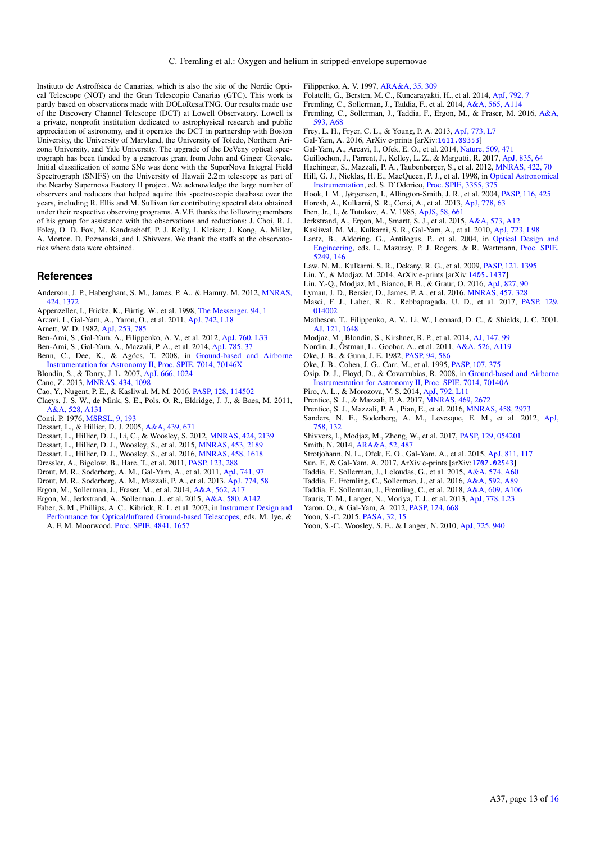Instituto de Astrofísica de Canarias, which is also the site of the Nordic Optical Telescope (NOT) and the Gran Telescopio Canarias (GTC). This work is partly based on observations made with DOLoResatTNG. Our results made use of the Discovery Channel Telescope (DCT) at Lowell Observatory. Lowell is a private, nonprofit institution dedicated to astrophysical research and public appreciation of astronomy, and it operates the DCT in partnership with Boston University, the University of Maryland, the University of Toledo, Northern Arizona University, and Yale University. The upgrade of the DeVeny optical spectrograph has been funded by a generous grant from John and Ginger Giovale. Initial classification of some SNe was done with the SuperNova Integral Field Spectrograph (SNIFS) on the University of Hawaii 2.2 m telescope as part of the Nearby Supernova Factory II project. We acknowledge the large number of observers and reducers that helped aquire this spectroscopic database over the years, including R. Ellis and M. Sullivan for contributing spectral data obtained under their respective observing programs. A.V.F. thanks the following members of his group for assistance with the observations and reductions: J. Choi, R. J. Foley, O. D. Fox, M. Kandrashoff, P. J. Kelly, I. Kleiser, J. Kong, A. Miller, A. Morton, D. Poznanski, and I. Shivvers. We thank the staffs at the observatories where data were obtained.

## **References**

- <span id="page-12-48"></span>Anderson, J. P., Habergham, S. M., James, P. A., & Hamuy, M. 2012, [MNRAS,](http://linker.aanda.org/10.1051/0004-6361/201731701/1) [424, 1372](http://linker.aanda.org/10.1051/0004-6361/201731701/1)
- <span id="page-12-62"></span>Appenzeller, I., Fricke, K., Fürtig, W., et al. 1998, [The Messenger, 94, 1](http://linker.aanda.org/10.1051/0004-6361/201731701/2)
- <span id="page-12-26"></span>Arcavi, I., Gal-Yam, A., Yaron, O., et al. 2011, [ApJ, 742, L18](http://linker.aanda.org/10.1051/0004-6361/201731701/3)
- <span id="page-12-40"></span>Arnett, W. D. 1982, [ApJ, 253, 785](http://linker.aanda.org/10.1051/0004-6361/201731701/4)
- <span id="page-12-46"></span>Ben-Ami, S., Gal-Yam, A., Filippenko, A. V., et al. 2012, [ApJ, 760, L33](http://linker.aanda.org/10.1051/0004-6361/201731701/5)
- <span id="page-12-27"></span>Ben-Ami, S., Gal-Yam, A., Mazzali, P. A., et al. 2014, [ApJ, 785, 37](http://linker.aanda.org/10.1051/0004-6361/201731701/6)
- <span id="page-12-57"></span>Benn, C., Dee, K., & Agócs, T. 2008, in [Ground-based and Airborne](http://linker.aanda.org/10.1051/0004-6361/201731701/7) [Instrumentation for Astronomy II,](http://linker.aanda.org/10.1051/0004-6361/201731701/7) [Proc. SPIE, 7014, 70146X](http://linker.aanda.org/10.1051/0004-6361/201731701/7)
- <span id="page-12-31"></span>Blondin, S., & Tonry, J. L. 2007, [ApJ, 666, 1024](http://linker.aanda.org/10.1051/0004-6361/201731701/8)
- <span id="page-12-42"></span>Cano, Z. 2013, [MNRAS, 434, 1098](http://linker.aanda.org/10.1051/0004-6361/201731701/9)
- <span id="page-12-15"></span>Cao, Y., Nugent, P. E., & Kasliwal, M. M. 2016, [PASP, 128, 114502](http://linker.aanda.org/10.1051/0004-6361/201731701/10)
- <span id="page-12-6"></span>Claeys, J. S. W., de Mink, S. E., Pols, O. R., Eldridge, J. J., & Baes, M. 2011, [A&A, 528, A131](http://linker.aanda.org/10.1051/0004-6361/201731701/11)
- <span id="page-12-2"></span>Conti, P. 1976, [MSRSL, 9, 193](http://linker.aanda.org/10.1051/0004-6361/201731701/12)
- <span id="page-12-39"></span>Dessart, L., & Hillier, D. J. 2005, [A&A, 439, 671](http://linker.aanda.org/10.1051/0004-6361/201731701/13)
- <span id="page-12-9"></span>Dessart, L., Hillier, D. J., Li, C., & Woosley, S. 2012, [MNRAS, 424, 2139](http://linker.aanda.org/10.1051/0004-6361/201731701/14)
- <span id="page-12-44"></span>Dessart, L., Hillier, D. J., Woosley, S., et al. 2015, [MNRAS, 453, 2189](http://linker.aanda.org/10.1051/0004-6361/201731701/15)
- <span id="page-12-45"></span>Dessart, L., Hillier, D. J., Woosley, S., et al. 2016, [MNRAS, 458, 1618](http://linker.aanda.org/10.1051/0004-6361/201731701/16)
- <span id="page-12-59"></span>Dressler, A., Bigelow, B., Hare, T., et al. 2011, [PASP, 123, 288](http://linker.aanda.org/10.1051/0004-6361/201731701/17)
- <span id="page-12-41"></span>Drout, M. R., Soderberg, A. M., Gal-Yam, A., et al. 2011, [ApJ, 741, 97](http://linker.aanda.org/10.1051/0004-6361/201731701/18)
- <span id="page-12-51"></span>Drout, M. R., Soderberg, A. M., Mazzali, P. A., et al. 2013, [ApJ, 774, 58](http://linker.aanda.org/10.1051/0004-6361/201731701/19)
- <span id="page-12-29"></span>Ergon, M., Sollerman, J., Fraser, M., et al. 2014, [A&A, 562, A17](http://linker.aanda.org/10.1051/0004-6361/201731701/20)
- <span id="page-12-36"></span>Ergon, M., Jerkstrand, A., Sollerman, J., et al. 2015, [A&A, 580, A142](http://linker.aanda.org/10.1051/0004-6361/201731701/21)
- <span id="page-12-54"></span>Faber, S. M., Phillips, A. C., Kibrick, R. I., et al. 2003, in [Instrument Design and](http://linker.aanda.org/10.1051/0004-6361/201731701/22)
- Performance for Optical/[Infrared Ground-based Telescopes,](http://linker.aanda.org/10.1051/0004-6361/201731701/22) eds. M. Iye, & A. F. M. Moorwood, [Proc. SPIE, 4841, 1657](http://linker.aanda.org/10.1051/0004-6361/201731701/22)
- <span id="page-12-0"></span>Filippenko, A. V. 1997, [ARA&A, 35, 309](http://linker.aanda.org/10.1051/0004-6361/201731701/23)
- <span id="page-12-11"></span>Folatelli, G., Bersten, M. C., Kuncarayakti, H., et al. 2014, [ApJ, 792, 7](http://linker.aanda.org/10.1051/0004-6361/201731701/24)
- <span id="page-12-23"></span>Fremling, C., Sollerman, J., Taddia, F., et al. 2014, [A&A, 565, A114](http://linker.aanda.org/10.1051/0004-6361/201731701/25)
- <span id="page-12-20"></span>Fremling, C., Sollerman, J., Taddia, F., Ergon, M., & Fraser, M. 2016, [A&A,](http://linker.aanda.org/10.1051/0004-6361/201731701/26) [593, A68](http://linker.aanda.org/10.1051/0004-6361/201731701/26)
- <span id="page-12-8"></span>Frey, L. H., Fryer, C. L., & Young, P. A. 2013, [ApJ, 773, L7](http://linker.aanda.org/10.1051/0004-6361/201731701/27)
- <span id="page-12-1"></span>Gal-Yam, A. 2016, ArXiv e-prints [arXiv:[1611.09353](http://arxiv.org/abs/1611.09353)]
- <span id="page-12-24"></span>Gal-Yam, A., Arcavi, I., Ofek, E. O., et al. 2014, [Nature, 509, 471](http://linker.aanda.org/10.1051/0004-6361/201731701/29)
- Guillochon, J., Parrent, J., Kelley, L. Z., & Margutti, R. 2017, [ApJ, 835, 64](http://linker.aanda.org/10.1051/0004-6361/201731701/30)
- <span id="page-12-58"></span><span id="page-12-49"></span>Hachinger, S., Mazzali, P. A., Taubenberger, S., et al. 2012, [MNRAS, 422, 70](http://linker.aanda.org/10.1051/0004-6361/201731701/31) Hill, G. J., Nicklas, H. E., MacQueen, P. J., et al. 1998, in [Optical Astronomical](http://linker.aanda.org/10.1051/0004-6361/201731701/32)
- [Instrumentation,](http://linker.aanda.org/10.1051/0004-6361/201731701/32) ed. S. D'Odorico, [Proc. SPIE, 3355, 375](http://linker.aanda.org/10.1051/0004-6361/201731701/32)
- <span id="page-12-56"></span>Hook, I. M., Jørgensen, I., Allington-Smith, J. R., et al. 2004, [PASP, 116, 425](http://linker.aanda.org/10.1051/0004-6361/201731701/33)
- <span id="page-12-25"></span>Horesh, A., Kulkarni, S. R., Corsi, A., et al. 2013, [ApJ, 778, 63](http://linker.aanda.org/10.1051/0004-6361/201731701/34)
- <span id="page-12-4"></span>Iben, Jr., I., & Tutukov, A. V. 1985, [ApJS, 58, 661](http://linker.aanda.org/10.1051/0004-6361/201731701/35)
- <span id="page-12-50"></span>Jerkstrand, A., Ergon, M., Smartt, S. J., et al. 2015, [A&A, 573, A12](http://linker.aanda.org/10.1051/0004-6361/201731701/36)
- <span id="page-12-37"></span>Kasliwal, M. M., Kulkarni, S. R., Gal-Yam, A., et al. 2010, [ApJ, 723, L98](http://linker.aanda.org/10.1051/0004-6361/201731701/37)
- <span id="page-12-61"></span>Lantz, B., Aldering, G., Antilogus, P., et al. 2004, in [Optical Design and](http://linker.aanda.org/10.1051/0004-6361/201731701/38) [Engineering,](http://linker.aanda.org/10.1051/0004-6361/201731701/38) eds. L. Mazuray, P. J. Rogers, & R. Wartmann, [Proc. SPIE,](http://linker.aanda.org/10.1051/0004-6361/201731701/38) [5249, 146](http://linker.aanda.org/10.1051/0004-6361/201731701/38)
- <span id="page-12-14"></span>Law, N. M., Kulkarni, S. R., Dekany, R. G., et al. 2009, [PASP, 121, 1395](http://linker.aanda.org/10.1051/0004-6361/201731701/39)
- <span id="page-12-33"></span>Liu, Y., & Modjaz, M. 2014, ArXiv e-prints [arXiv:[1405.1437](http://arxiv.org/abs/1405.1437)]
- <span id="page-12-13"></span>Liu, Y.-Q., Modjaz, M., Bianco, F. B., & Graur, O. 2016, [ApJ, 827, 90](http://linker.aanda.org/10.1051/0004-6361/201731701/41)
- <span id="page-12-43"></span>Lyman, J. D., Bersier, D., James, P. A., et al. 2016, [MNRAS, 457, 328](http://linker.aanda.org/10.1051/0004-6361/201731701/42)
- <span id="page-12-16"></span>Masci, F. J., Laher, R. R., Rebbapragada, U. D., et al. 2017, [PASP, 129,](http://linker.aanda.org/10.1051/0004-6361/201731701/43) [014002](http://linker.aanda.org/10.1051/0004-6361/201731701/43)
- <span id="page-12-12"></span>Matheson, T., Filippenko, A. V., Li, W., Leonard, D. C., & Shields, J. C. 2001, [AJ, 121, 1648](http://linker.aanda.org/10.1051/0004-6361/201731701/44)
- <span id="page-12-32"></span>Modjaz, M., Blondin, S., Kirshner, R. P., et al. 2014, [AJ, 147, 99](http://linker.aanda.org/10.1051/0004-6361/201731701/45)
- <span id="page-12-35"></span>Nordin, J., Östman, L., Goobar, A., et al. 2011, [A&A, 526, A119](http://linker.aanda.org/10.1051/0004-6361/201731701/46)
- <span id="page-12-55"></span>Oke, J. B., & Gunn, J. E. 1982, [PASP, 94, 586](http://linker.aanda.org/10.1051/0004-6361/201731701/47)
- <span id="page-12-53"></span>Oke, J. B., Cohen, J. G., Carr, M., et al. 1995, [PASP, 107, 375](http://linker.aanda.org/10.1051/0004-6361/201731701/48)
- <span id="page-12-60"></span>Osip, D. J., Floyd, D., & Covarrubias, R. 2008, in [Ground-based and Airborne](http://linker.aanda.org/10.1051/0004-6361/201731701/49) [Instrumentation for Astronomy II,](http://linker.aanda.org/10.1051/0004-6361/201731701/49) [Proc. SPIE, 7014, 70140A](http://linker.aanda.org/10.1051/0004-6361/201731701/49)
- <span id="page-12-10"></span>Piro, A. L., & Morozova, V. S. 2014, [ApJ, 792, L11](http://linker.aanda.org/10.1051/0004-6361/201731701/50)
- <span id="page-12-47"></span>Prentice, S. J., & Mazzali, P. A. 2017, [MNRAS, 469, 2672](http://linker.aanda.org/10.1051/0004-6361/201731701/51)
- <span id="page-12-21"></span>Prentice, S. J., Mazzali, P. A., Pian, E., et al. 2016, [MNRAS, 458, 2973](http://linker.aanda.org/10.1051/0004-6361/201731701/52)
- <span id="page-12-17"></span>Sanders, N. E., Soderberg, A. M., Levesque, E. M., et al. 2012, [ApJ,](http://linker.aanda.org/10.1051/0004-6361/201731701/53) [758, 132](http://linker.aanda.org/10.1051/0004-6361/201731701/53)
- <span id="page-12-34"></span>Shivvers, I., Modjaz, M., Zheng, W., et al. 2017, [PASP, 129, 054201](http://linker.aanda.org/10.1051/0004-6361/201731701/54)
- <span id="page-12-3"></span>Smith, N. 2014, [ARA&A, 52, 487](http://linker.aanda.org/10.1051/0004-6361/201731701/55)
- <span id="page-12-22"></span>Strotjohann, N. L., Ofek, E. O., Gal-Yam, A., et al. 2015, [ApJ, 811, 117](http://linker.aanda.org/10.1051/0004-6361/201731701/56)
- <span id="page-12-38"></span>Sun, F., & Gal-Yam, A. 2017, ArXiv e-prints [arXiv:[1707.02543](http://arxiv.org/abs/1707.02543)]
- <span id="page-12-30"></span>Taddia, F., Sollerman, J., Leloudas, G., et al. 2015, [A&A, 574, A60](http://linker.aanda.org/10.1051/0004-6361/201731701/58)
- <span id="page-12-18"></span>Taddia, F., Fremling, C., Sollerman, J., et al. 2016, [A&A, 592, A89](http://linker.aanda.org/10.1051/0004-6361/201731701/59)
- <span id="page-12-19"></span>Taddia, F., Sollerman, J., Fremling, C., et al. 2018, [A&A, 609, A106](http://linker.aanda.org/10.1051/0004-6361/201731701/60)
- <span id="page-12-52"></span>Tauris, T. M., Langer, N., Moriya, T. J., et al. 2013, [ApJ, 778, L23](http://linker.aanda.org/10.1051/0004-6361/201731701/61)
- <span id="page-12-28"></span>Yaron, O., & Gal-Yam, A. 2012, [PASP, 124, 668](http://linker.aanda.org/10.1051/0004-6361/201731701/62)
- <span id="page-12-7"></span>Yoon, S.-C. 2015, [PASA, 32, 15](http://linker.aanda.org/10.1051/0004-6361/201731701/63)
- <span id="page-12-5"></span>Yoon, S.-C., Woosley, S. E., & Langer, N. 2010, [ApJ, 725, 940](http://linker.aanda.org/10.1051/0004-6361/201731701/64)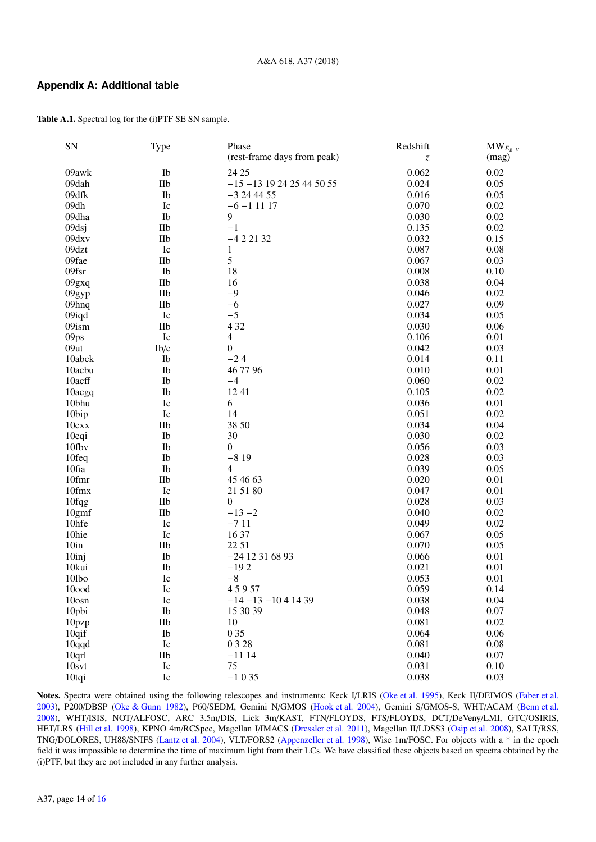## **Appendix A: Additional table**

| ${\rm SN}$       | Type              | Phase                        | Redshift                      | $\text{MW}_{E_{B-V}}$ |
|------------------|-------------------|------------------------------|-------------------------------|-----------------------|
|                  |                   | (rest-frame days from peak)  | $\ensuremath{\mathnormal{Z}}$ | (mag)                 |
| 09awk            | Ib                | 24 25                        | 0.062                         | 0.02                  |
| 09dah            | IIb               | $-15 - 13$ 19 24 25 44 50 55 | 0.024                         | 0.05                  |
| 09dfk            | Ib                | $-3244455$                   | 0.016                         | 0.05                  |
| 09dh             | Ic                | $-6 - 11117$                 | 0.070                         | 0.02                  |
| 09dha            | Ib                | 9                            | 0.030                         | 0.02                  |
| 09dsj            | IIb               | $-1$                         | 0.135                         | 0.02                  |
| 09dxv            | $I$ Ib            | $-422132$                    | 0.032                         | 0.15                  |
| 09dzt            | Ic                | $\mathbf{1}$                 | 0.087                         | 0.08                  |
| 09fae            | IIb               | 5                            | 0.067                         | 0.03                  |
| 09fsr            | Ib                | 18                           | 0.008                         | 0.10                  |
| 09gxq            | IIb               | 16                           | 0.038                         | 0.04                  |
| 09gyp            | IIb               | $-9$                         | 0.046                         | 0.02                  |
| 09hnq            | $I$ Ib            | $-6$                         | 0.027                         | 0.09                  |
| 09iqd            | Ic                | $-5$                         | 0.034                         | 0.05                  |
| 09ism            | $I$ Ib            | 4 3 2                        | 0.030                         | 0.06                  |
| 09ps             | ${\rm Ic}$        | $\overline{\mathbf{4}}$      | 0.106                         | 0.01                  |
| 09ut             | Ib/c              | $\boldsymbol{0}$             | 0.042                         | 0.03                  |
| 10abck           | Ib                | $-24$                        | 0.014                         | 0.11                  |
| 10acbu           | Ib                | 46 77 96                     | 0.010                         | 0.01                  |
| 10acff           | ${\rm Ib}$        | $-4$                         | 0.060                         | 0.02                  |
| 10acgq           | ${\rm Ib}$        | 1241                         | 0.105                         | 0.02                  |
| 10bhu            | Ic                | 6                            | 0.036                         | 0.01                  |
| 10bip            | Ic                | 14                           | 0.051                         | 0.02                  |
| 10cxx            | $\rm{IIb}$        | 38 50                        | 0.034                         | 0.04                  |
| 10eqi            | Ib                | 30                           | 0.030                         | 0.02                  |
| 10fbv            | Ib                | $\boldsymbol{0}$             | 0.056                         | 0.03                  |
| 10feq            | Ib                | $-819$                       | 0.028                         | 0.03                  |
| 10fia            | Ib                | $\overline{4}$               | 0.039                         | 0.05                  |
| 10fmr            | $I$ Ib            | 45 46 63                     | 0.020                         | 0.01                  |
| 10fmx            | ${\rm Ic}$        | 21 51 80                     | 0.047                         | 0.01                  |
| $10$ fqg         | IIb               | $\boldsymbol{0}$             | 0.028                         | 0.03                  |
| 10gmf            | IIb               | $-13 - 2$                    | 0.040                         | 0.02                  |
| 10hfe            | Ic                | $-711$                       | 0.049                         | 0.02                  |
| 10hie            | Ic                | 16 37                        | 0.067                         | 0.05                  |
| 10 <sub>in</sub> | IIb               | 22 51                        | 0.070                         | 0.05                  |
| 10inj            | Ib                | $-24$ 12 31 68 93            | 0.066                         | 0.01                  |
| 10kui            | Ib                | $-192$                       | 0.021                         | 0.01                  |
| 10lbo            | Ic                | $-8\,$                       | 0.053                         | 0.01                  |
| $10$ ood         | $I_{\mathcal{C}}$ | 45957                        | 0.059                         | 0.14                  |
| $10$ osn         | Ic                | $-14 - 13 - 1041439$         | 0.038                         | 0.04                  |
| 10pbi            | Ib                | 15 30 39                     | 0.048                         | 0.07                  |
| 10pzp            | IIb               | 10                           | 0.081                         | 0.02                  |
| $10q$ if         | Ib                | 0 35                         | 0.064                         | 0.06                  |
| 10qqd            | Ic                | 0 3 2 8                      | 0.081                         | 0.08                  |
| 10qrl            | IIb               | $-1114$                      | 0.040                         | 0.07                  |
| 10svt            | Ic                | 75                           | 0.031                         | 0.10                  |
| 10tqi            | Ic                | $-1035$                      | 0.038                         | 0.03                  |
|                  |                   |                              |                               |                       |

<span id="page-13-0"></span>Table A.1. Spectral log for the (i)PTF SE SN sample.

Notes. Spectra were obtained using the following telescopes and instruments: Keck I/LRIS [\(Oke et al.](#page-12-53) [1995\)](#page-12-53), Keck II/DEIMOS [\(Faber et al.](#page-12-54) [2003\)](#page-12-54), P200/DBSP [\(Oke & Gunn](#page-12-55) [1982\)](#page-12-55), P60/SEDM, Gemini N/GMOS [\(Hook et al.](#page-12-56) [2004\)](#page-12-56), Gemini S/GMOS-S, WHT/ACAM [\(Benn et al.](#page-12-57) [2008\)](#page-12-57), WHT/ISIS, NOT/ALFOSC, ARC 3.5m/DIS, Lick 3m/KAST, FTN/FLOYDS, FTS/FLOYDS, DCT/DeVeny/LMI, GTC/OSIRIS, HET/LRS [\(Hill et al.](#page-12-58) [1998\)](#page-12-58), KPNO 4m/RCSpec, Magellan I/IMACS [\(Dressler et al.](#page-12-59) [2011\)](#page-12-59), Magellan II/LDSS3 [\(Osip et al.](#page-12-60) [2008\)](#page-12-60), SALT/RSS, TNG/DOLORES, UH88/SNIFS [\(Lantz et al.](#page-12-61) [2004\)](#page-12-61), VLT/FORS2 [\(Appenzeller et al.](#page-12-62) [1998\)](#page-12-62), Wise 1m/FOSC. For objects with a \* in the epoch field it was impossible to determine the time of maximum light from their LCs. We have classified these objects based on spectra obtained by the (i)PTF, but they are not included in any further analysis.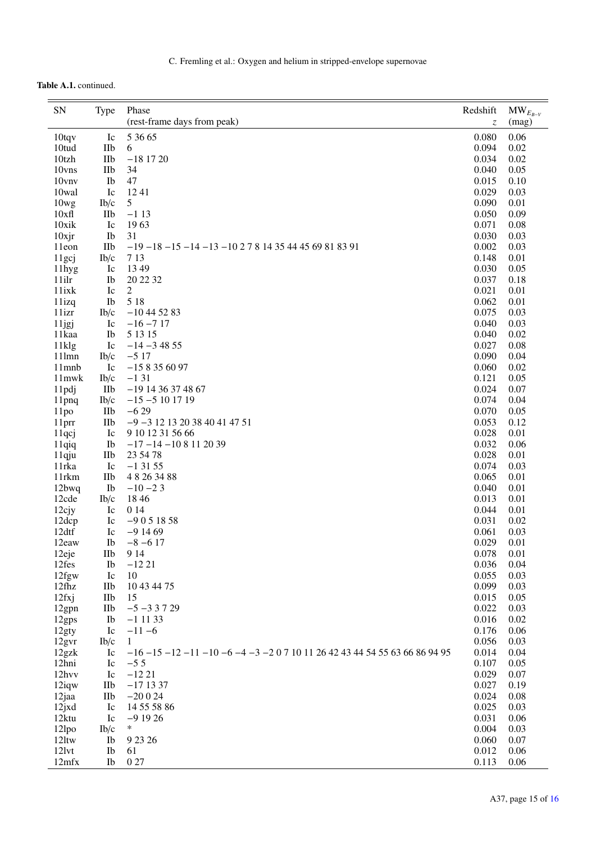# Table A.1. continued.

| ${\rm SN}$        | <b>Type</b> | Phase<br>(rest-frame days from peak)                                            | Redshift<br>Z  | $\text{MW}_{E_{B-V}}$<br>(mag) |
|-------------------|-------------|---------------------------------------------------------------------------------|----------------|--------------------------------|
| $10$ tqv          | Ic          | 5 36 65                                                                         | 0.080          | 0.06                           |
| 10tud             | <b>IIb</b>  | 6                                                                               | 0.094          | 0.02                           |
| 10tzh             | IIb         | $-18$ 17 20                                                                     | 0.034          | 0.02                           |
| 10vns             | IIb         | 34                                                                              | 0.040          | 0.05                           |
| 10vnv             | Ib          | 47                                                                              | 0.015          | 0.10                           |
| 10wal             | Ic          | 1241                                                                            | 0.029          | 0.03                           |
| 10wg              | Ib/c        | $5\overline{)}$                                                                 | 0.090          | 0.01                           |
| 10xf1             | IIb         | $-113$                                                                          | 0.050          | 0.09                           |
| 10xik             | Ic          | 1963                                                                            | 0.071          | 0.08                           |
| $10$ xjr          | Ib          | 31                                                                              | 0.030          | 0.03                           |
| 11eon             | <b>IIb</b>  | $-19 - 18 - 15 - 14 - 13 - 102781435444569818391$                               | 0.002          | 0.03                           |
| 11gcj             | Ib/c        | 7 1 3                                                                           | 0.148<br>0.030 | 0.01                           |
| 11hyg<br>11ilr    | Ic<br>Ib    | 13 49<br>20 22 32                                                               | 0.037          | 0.05<br>0.18                   |
| 11ixk             | Ic          | 2                                                                               | 0.021          | 0.01                           |
| 11izq             | Ib          | 5 1 8                                                                           | 0.062          | 0.01                           |
| 11izr             | Ib/c        | $-10$ 44 52 83                                                                  | 0.075          | 0.03                           |
| 11jgj             | Ic          | $-16 - 717$                                                                     | 0.040          | 0.03                           |
| 11kaa             | Ib          | 5 13 15                                                                         | 0.040          | 0.02                           |
| 11klg             | Ic          | $-14 - 34855$                                                                   | 0.027          | 0.08                           |
| 11lmn             | Ib/c        | $-517$                                                                          | 0.090          | 0.04                           |
| 11mnb             | Ic          | $-158356097$                                                                    | 0.060          | 0.02                           |
| 11mwk             | Ib/c        | $-131$                                                                          | 0.121          | 0.05                           |
| 11pdj             | IIb         | $-19$ 14 36 37 48 67                                                            | 0.024          | 0.07                           |
| 11pnq             | Ib/c        | $-15 - 5101719$                                                                 | 0.074          | 0.04                           |
| 11po              | IIb         | $-629$                                                                          | 0.070          | 0.05                           |
| 11prr             | IIb         | $-9 - 31213203840414751$                                                        | 0.053          | 0.12                           |
| 11qcj             | Ic          | 9 10 12 31 56 66                                                                | 0.028          | 0.01                           |
| 11qiq             | Ib          | $-17 - 14 - 108112039$                                                          | 0.032          | 0.06                           |
| 11qju             | IIb         | 23 54 78                                                                        | 0.028          | 0.01                           |
| 11 <sub>rka</sub> | Ic          | $-13155$                                                                        | 0.074          | 0.03                           |
| 11 <sub>rkm</sub> | <b>IIb</b>  | 48263488                                                                        | 0.065          | 0.01                           |
| 12bwq             | Ib          | $-10 - 23$                                                                      | 0.040          | 0.01                           |
| 12cde             | Ib/c        | 18 4 6                                                                          | 0.013          | 0.01                           |
| $12$ cjy          | Ic          | 0 14                                                                            | 0.044          | 0.01                           |
| 12dcp             | Ic          | $-9051858$                                                                      | 0.031          | 0.02                           |
| 12dtf             | Ic          | $-91469$                                                                        | 0.061          | 0.03                           |
| 12eaw             | Ib          | $-8 - 617$                                                                      | 0.029          | 0.01                           |
| 12eje<br>12fes    | IIb         | 9 1 4                                                                           | 0.078          | 0.01<br>0.04                   |
| 12fgw             | Ib<br>Ic    | $-1221$<br>10                                                                   | 0.036<br>0.055 | 0.03                           |
| $12$ fhz          | IIb         | 10 43 44 75                                                                     | 0.099          | 0.03                           |
| 12fxij            | IIb         | 15                                                                              | 0.015          | 0.05                           |
| 12gpn             | IIb         | $-5 - 33729$                                                                    | 0.022          | 0.03                           |
| 12gps             | Ib          | $-1$ 11 33                                                                      | 0.016          | 0.02                           |
| 12gty             | Ic          | $-11 - 6$                                                                       | 0.176          | 0.06                           |
| 12gvr             | Ib/c        | $\mathbf{1}$                                                                    | 0.056          | 0.03                           |
| 12gzk             | Ic          | $-16 - 15 - 12 - 11 - 10 - 6 - 4 - 3 - 207 1011 2642 4344 54 55 63 66 86 94 95$ | 0.014          | 0.04                           |
| 12hni             | Ic          | $-5.5$                                                                          | 0.107          | 0.05                           |
| 12hvv             | Ic          | $-1221$                                                                         | 0.029          | 0.07                           |
| $12$ iqw          | IIb         | $-171337$                                                                       | 0.027          | 0.19                           |
| 12jaa             | IIb         | $-20024$                                                                        | 0.024          | 0.08                           |
| 12jxd             | Ic          | 14 55 58 86                                                                     | 0.025          | 0.03                           |
| 12ktu             | Ic          | $-91926$                                                                        | 0.031          | 0.06                           |
| 12lpo             | Ib/c        | $\ast$                                                                          | 0.004          | 0.03                           |
| 12ltw             | Ib          | 9 23 26                                                                         | 0.060          | 0.07                           |
| 121vt             | Ib          | 61                                                                              | 0.012          | 0.06                           |
| 12mfx             | Ib          | 027                                                                             | 0.113          | 0.06                           |